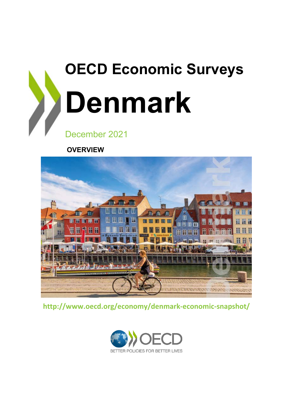

**OVERVIEW**



**http://www.oecd.org/economy/denmark-economic-snapshot/**

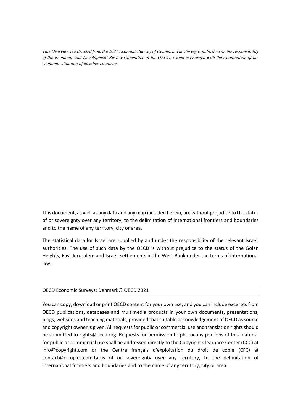*This Overview is extracted from the 2021 Economic Survey of Denmark. The Survey is published on the responsibility of the Economic and Development Review Committee of the OECD, which is charged with the examination of the economic situation of member countries.* 

This document, as well as any data and any map included herein, are without prejudice to the status of or sovereignty over any territory, to the delimitation of international frontiers and boundaries and to the name of any territory, city or area.

The statistical data for Israel are supplied by and under the responsibility of the relevant Israeli authorities. The use of such data by the OECD is without prejudice to the status of the Golan Heights, East Jerusalem and Israeli settlements in the West Bank under the terms of international law.

#### OECD Economic Surveys: Denmark© OECD 2021

You can copy, download or print OECD content for your own use, and you can include excerpts from OECD publications, databases and multimedia products in your own documents, presentations, blogs, websites and teaching materials, provided that suitable acknowledgement of OECD as source and copyright owner is given. All requests for public or commercial use and translation rights should be submitted to rights@oecd.org. Requests for permission to photocopy portions of this material for public or commercial use shall be addressed directly to the Copyright Clearance Center (CCC) at info@copyright.com or the Centre français d'exploitation du droit de copie (CFC) at contact@cfcopies.com.tatus of or sovereignty over any territory, to the delimitation of international frontiers and boundaries and to the name of any territory, city or area.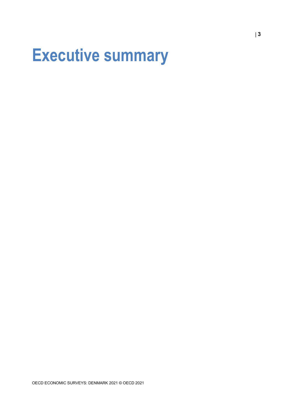## **Executive summary**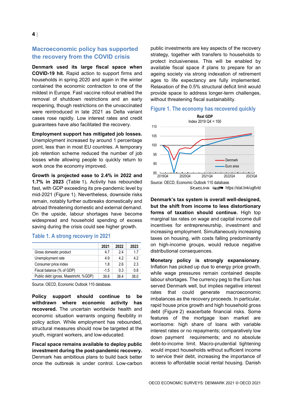#### **Macroeconomic policy has supported the recovery from the COVID crisis**

**Denmark used its large fiscal space when COVID-19 hit.** Rapid action to support firms and households in spring 2020 and again in the winter contained the economic contraction to one of the mildest in Europe. Fast vaccine rollout enabled the removal of shutdown restrictions and an early reopening, though restrictions on the unvaccinated were reintroduced in late 2021 as Delta variant cases rose rapidly. Low interest rates and credit guarantees have also facilitated the recovery.

**Employment support has mitigated job losses.**  Unemployment increased by around 1 percentage point, less than in most EU countries. A temporary job retention scheme reduced the number of job losses while allowing people to quickly return to work once the economy improved.

**Growth is projected ease to 2.4% in 2022 and 1.7% in 2023** [\(Table 1\)](#page-3-0)**.** Activity has rebounded fast, with GDP exceeding its pre-pandemic level by mid-2021 [\(Figure 1\)](#page-3-1). Nevertheless, downside risks remain, notably further outbreaks domestically and abroad threatening domestic and external demand. On the upside, labour shortages have become widespread and household spending of excess saving during the crisis could see higher growth.

|                                       | 2021   | 2022 | 2023 |
|---------------------------------------|--------|------|------|
| Gross domestic product                | 4.7    | 24   | 17   |
| Unemployment rate                     | 4.9    | 42   | 42   |
| Consumer price index                  | 1.8    | 26   | 23   |
| Fiscal balance (% of GDP)             | $-1.5$ | 0.3  | 0.8  |
| Public debt (gross, Maastricht, %GDP) | 39.8   | 38.4 | 38 O |

#### <span id="page-3-0"></span>**Table 1. A strong recovery in 2021**

Source: OECD, Economic Outlook 110 database.

**Policy support should continue to be withdrawn where economic activity has recovered.** The uncertain worldwide health and economic situation warrants ongoing flexibility in policy action. While employment has rebounded, structural measures should now be targeted at the youth, migrant workers, and low-educated.

**Fiscal space remains available to deploy public investment during the post-pandemic recovery.**  Denmark has ambitious plans to build back better once the outbreak is under control. Low-carbon

public investments are key aspects of the recovery strategy, together with transfers to households to protect inclusiveness. This will be enabled by available fiscal space if plans to prepare for an ageing society via strong indexation of retirement ages to life expectancy are fully implemented. Relaxation of the 0.5% structural deficit limit would provide space to address longer-term challenges, without threatening fiscal sustainability.

#### <span id="page-3-1"></span>**Figure 1. The economy has recovered quickly**



StatLink **2018** <https://stat.link/ug6vtd>

**Denmark's tax system is overall well-designed, but the shift from income to less distortionary forms of taxation should continue.** High top marginal tax rates on wage and capital income dull incentives for entrepreneurship, investment and increasing employment. Simultaneously increasing taxes on housing, with costs falling predominantly on high-income groups, would reduce negative distributional consequences.

**Monetary policy is strongly expansionary**. Inflation has picked up due to energy price growth, while wage pressures remain contained despite labour shortages. The currency peg to the Euro has served Denmark well, but implies negative interest rates that could generate macroeconomic imbalances as the recovery proceeds. In particular, rapid house price growth and high household gross debt [\(Figure 2\)](#page-4-0) exacerbate financial risks. Some features of the mortgage loan market are worrisome: high share of loans with variable interest rates or no repayments; comparatively low down payment requirements; and no absolute debt-to-income limit. Macro-prudential tightening would impact households without sufficient income to service their debt, increasing the importance of access to affordable social rental housing. Danish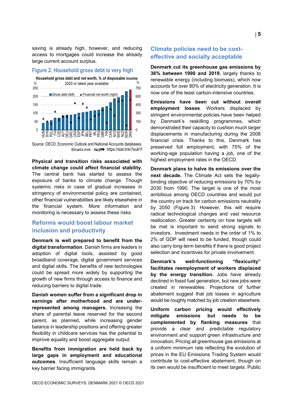saving is already high, however, and reducing access to mortgages could increase the already large current account surplus.

#### <span id="page-4-0"></span>**Figure 2. Household gross debt is very high**



Source: OECD, Economic Outlook and National Accounts databases. StatLink **anset** <https://stat.link/7eu61f>

**Physical and transition risks associated with climate change could affect financial stability.** The central bank has started to assess the exposure of banks to climate change. Though systemic risks in case of gradual increases in stringency of environmental policy are contained, other financial vulnerabilities are likely elsewhere in the financial system. More information and monitoring is necessary to assess these risks.

#### **Reforms would boost labour market inclusion and productivity**

**Denmark is well prepared to benefit from the digital transformation**. Danish firms are leaders in adoption of digital tools, assisted by good broadband coverage, digital government services and digital skills. The benefits of new technologies could be spread more widely by supporting the growth of new firms through access to finance and reducing barriers to digital trade.

**Danish women suffer from a significant drop in earnings after motherhood and are underrepresented among managers.** Increasing the share of parental leave reserved for the second parent, as planned, while increasing gender balance in leadership positions and offering greater flexibility in childcare services has the potential to improve equality and boost aggregate output.

**Benefits from immigration are held back by large gaps in employment and educational outcomes**. Insufficient language skills remain a key barrier facing immigrants.

#### **Climate policies need to be costeffective and socially acceptable**

**Denmark cut its greenhouse gas emissions by 36% between 1990 and 2019**, largely thanks to renewable energy (including biomass), which now accounts for over 80% of electricity generation. It is now one of the least carbon-intensive countries.

**Emissions have been cut without overall employment losses**. Workers displaced by stringent environmental policies have been helped by Denmark's reskilling programmes, which demonstrated their capacity to cushion much larger displacements in manufacturing during the 2008 financial crisis. Thanks to this, Denmark has preserved full employment, with 75% of the working-age population having a job, one of the highest employment rates in the OECD.

**Denmark plans to halve its emissions over the next decade.** The Climate Act sets the legallybinding objective of reducing emissions by 70% by 2030 from 1990. The target is one of the most ambitious among OECD countries and would put the country on track for carbon emissions neutrality by 2050 [\(Figure](#page-5-0) 3). However, this will require radical technological changes and vast resource reallocation. Greater certainty on how targets will be met is important to send strong signals to investors. Investment needs in the order of 1% to 2% of GDP will need to be funded, though could also carry long-term benefits if there is good project selection and incentives for private involvement.

**Denmark's well-functioning "flexicurity" facilitates reemployment of workers displaced by the energy transition.** Jobs have already declined in fossil fuel generation, but new jobs were created in renewables. Projections of further abatement suggest that job losses in agriculture would be roughly matched by job creation elsewhere.

**Uniform carbon pricing would effectively mitigate emissions but needs to be complemented by flanking measures** that provide a clear and predictable regulatory environment and support green infrastructure and innovation**.** Pricing all greenhouse gas emissions at a uniform minimum rate reflecting the evolution of prices in the EU Emissions Trading System would contribute to cost-effective abatement, though on its own would be insufficient to meet targets. Public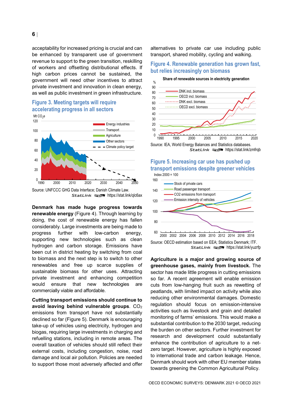acceptability for increased pricing is crucial and can be enhanced by transparent use of government revenue to support to the green transition, reskilling of workers and offsetting distributional effects. If high carbon prices cannot be sustained, the government will need other incentives to attract private investment and innovation in clean energy, as well as public investment in green infrastructure.

#### <span id="page-5-0"></span>**Figure 3. Meeting targets will require accelerating progress in all sectors**



Source: UNFCCC GHG Data Interface; Danish Climate Law. StatLink **2018** <https://stat.link/qlc6ax>

**Denmark has made huge progress towards renewable energy** [\(Figure](#page-5-1) 4). Through learning by doing, the cost of renewable energy has fallen considerably. Large investments are being made to progress further with low-carbon energy, supporting new technologies such as clean hydrogen and carbon storage. Emissions have been cut in district heating by switching from coal to biomass and the next step is to switch to other renewables and free up scarce supplies of sustainable biomass for other uses. Attracting private investment and enhancing competition would ensure that new technologies are commercially viable and affordable.

**Cutting transport emissions should continue to**  avoid leaving behind vulnerable groups. CO<sub>2</sub> emissions from transport have not substantially declined so far [\(Figure](#page-5-2) 5). Denmark is encouraging take-up of vehicles using electricity, hydrogen and biogas, requiring large investments in charging and refuelling stations, including in remote areas. The overall taxation of vehicles should still reflect their external costs, including congestion, noise, road damage and local air pollution. Policies are needed to support those most adversely affected and offer

alternatives to private car use including public transport, shared mobility, cycling and walking.

#### <span id="page-5-1"></span>**Figure 4. Renewable generation has grown fast, but relies increasingly on biomass**





StatLink <del><sub>an</sub>spa</del> <https://stat.link/zmfrqb>

<span id="page-5-2"></span>**Figure 5. Increasing car use has pushed up transport emissions despite greener vehicles** Index 2000 = 100





Source: OECD estimation based on EEA; Statistics Denmark; ITF. StatLink **2012** <https://stat.link/yuzrfp>

**Agriculture is a major and growing source of greenhouse gases, mainly from livestock.** The sector has made little progress in cutting emissions so far. A recent agreement will enable emission cuts from low-hanging fruit such as rewetting of peatlands, with limited impact on activity while also reducing other environmental damages. Domestic regulation should focus on emission-intensive activities such as livestock and grain and detailed monitoring of farms' emissions. This would make a substantial contribution to the 2030 target, reducing the burden on other sectors. Further investment for research and development could substantially enhance the contribution of agriculture to a netzero target. However, agriculture is highly exposed to international trade and carbon leakage. Hence, Denmark should work with other EU member states towards greening the Common Agricultural Policy.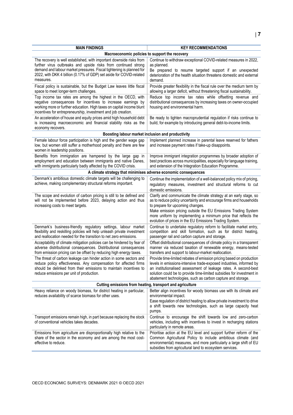| <b>MAIN FINDINGS</b>                                                                                                                                                                                                                                                                               | <b>KEY RECOMMENDATIONS</b>                                                                                                                                                                                                                                                                                                                                                 |
|----------------------------------------------------------------------------------------------------------------------------------------------------------------------------------------------------------------------------------------------------------------------------------------------------|----------------------------------------------------------------------------------------------------------------------------------------------------------------------------------------------------------------------------------------------------------------------------------------------------------------------------------------------------------------------------|
| Macroeconomic policies to support the recovery                                                                                                                                                                                                                                                     |                                                                                                                                                                                                                                                                                                                                                                            |
| The recovery is well established, with important downside risks from<br>further virus outbreaks and upside risks from continued strong<br>demand and labour market pressures. Fiscal tightening is planned for<br>2022, with DKK 4 billion (0.17% of GDP) set aside for COVID-related<br>measures. | Continue to withdraw exceptional COVID-related measures in 2022,<br>as planned.<br>Be prepared to resume targeted support if an unexpected<br>deterioration of the health situation threatens domestic and external<br>demand.                                                                                                                                             |
| Fiscal policy is sustainable, but the Budget Law leaves little fiscal<br>space to meet longer-term challenges.                                                                                                                                                                                     | Provide greater flexibility in the fiscal rule over the medium term by<br>allowing a larger deficit, without threatening fiscal sustainability.                                                                                                                                                                                                                            |
| Top income tax rates are among the highest in the OECD, with<br>negative consequences for incentives to increase earnings by<br>working more or further education. High taxes on capital income blunt<br>incentives for entrepreneurship, investment and job creation.                             | Reduce top income tax rates while offsetting revenue and<br>distributional consequences by increasing taxes on owner-occupied<br>housing and environmental harm.                                                                                                                                                                                                           |
| An acceleration of house and equity prices amid high household debt<br>is increasing macroeconomic and financial stability risks as the<br>economy recovers.                                                                                                                                       | Be ready to tighten macroprudential regulation if risks continue to<br>build, for example by introducing general debt-to-income limits.                                                                                                                                                                                                                                    |
| Boosting labour market inclusion and productivity                                                                                                                                                                                                                                                  |                                                                                                                                                                                                                                                                                                                                                                            |
| Female labour force participation is high and the gender wage gap<br>low, but women still suffer a motherhood penalty and there are few<br>women in leadership positions.                                                                                                                          | Implement planned increase in parental leave reserved for fathers<br>and increase payment rates if take-up disappoints.                                                                                                                                                                                                                                                    |
| Benefits from immigration are hampered by the large gap in<br>employment and education between immigrants and native Danes,<br>with immigrants particularly badly affected by the COVID crisis.                                                                                                    | Improve immigrant integration programmes by broader adoption of<br>best practices across municipalities, especially for language training,<br>and extension of the Integration Education Programme.                                                                                                                                                                        |
| A climate strategy that minimises adverse economic consequences                                                                                                                                                                                                                                    |                                                                                                                                                                                                                                                                                                                                                                            |
| Denmark's ambitious domestic climate targets will be challenging to<br>achieve, making complementary structural reforms important.                                                                                                                                                                 | Continue the implementation of a well-balanced policy mix of pricing,<br>regulatory measures, investment and structural reforms to cut<br>domestic emissions.                                                                                                                                                                                                              |
| The scope and evolution of carbon pricing is still to be defined and<br>will not be implemented before 2023, delaying action and thus<br>increasing costs to meet targets.                                                                                                                         | Clarify and communicate the climate strategy at an early stage, so<br>as to reduce policy uncertainty and encourage firms and households<br>to prepare for upcoming changes.<br>Make emission pricing outside the EU Emissions Trading System<br>more uniform by implementing a minimum price that reflects the<br>evolution of prices in the EU Emissions Trading System. |
| Denmark's business-friendly regulatory settings, labour market<br>flexibility and reskilling policies will help unleash private investment<br>and reallocation needed for the transition to net zero emissions.                                                                                    | Continue to undertake regulatory reform to facilitate market entry,<br>competition and skill formation, such as for district heating,<br>passenger rail and carbon capture and storage.                                                                                                                                                                                    |
| Acceptability of climate mitigation policies can be hindered by fear of<br>adverse distributional consequences. Distributional consequences<br>from emission pricing can be offset by reducing high energy taxes.                                                                                  | Offset distributional consequences of climate policy in a transparent<br>manner via reduced taxation of renewable energy, means-tested<br>transfers and support to labour-market reallocation.                                                                                                                                                                             |
| The threat of carbon leakage can hinder action in some sectors and<br>reduce policy effectiveness. Any compensation for affected firms<br>should be delinked from their emissions to maintain incentives to<br>reduce emissions per unit of production.                                            | Provide time-limited rebates of emission pricing based on production<br>levels in emissions-intensive trade-exposed industries, informed by<br>an institutionalised assessment of leakage rates. A second-best<br>solution could be to provide time-limited subsidies for investment in<br>abatement technologies, such as carbon capture and storage.                     |
| Cutting emissions from heating, transport and agriculture                                                                                                                                                                                                                                          |                                                                                                                                                                                                                                                                                                                                                                            |
| Heavy reliance on woody biomass, for district heating in particular,<br>reduces availability of scarce biomass for other uses.                                                                                                                                                                     | Better align incentives for woody biomass use with its climate and<br>environmental impact.<br>Ease regulation of district heating to allow private investment to drive<br>a shift towards new technologies, such as large capacity heat<br>pumps.                                                                                                                         |
| Transport emissions remain high, in part because replacing the stock<br>of conventional vehicles takes decades.                                                                                                                                                                                    | Continue to encourage the shift towards low and zero-carbon<br>vehicles, including with incentives to invest in recharging stations<br>particularly in remote areas.                                                                                                                                                                                                       |
| Emissions from agriculture are disproportionally high relative to the<br>share of the sector in the economy and are among the most cost-<br>effective to reduce.                                                                                                                                   | Prioritise action at the EU level and support further reform of the<br>Common Agricultural Policy to include ambitious climate (and<br>environmental) measures, and more particularly a large shift of EU<br>subsidies from agricultural land to ecosystem services.                                                                                                       |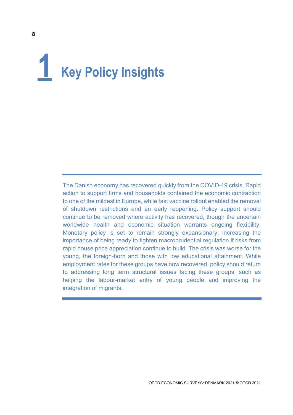# **1 Key Policy Insights**

The Danish economy has recovered quickly from the COVID-19 crisis. Rapid action to support firms and households contained the economic contraction to one of the mildest in Europe, while fast vaccine rollout enabled the removal of shutdown restrictions and an early reopening. Policy support should continue to be removed where activity has recovered, though the uncertain worldwide health and economic situation warrants ongoing flexibility. Monetary policy is set to remain strongly expansionary, increasing the importance of being ready to tighten macroprudential regulation if risks from rapid house price appreciation continue to build. The crisis was worse for the young, the foreign-born and those with low educational attainment. While employment rates for these groups have now recovered, policy should return to addressing long term structural issues facing these groups, such as helping the labour-market entry of young people and improving the integration of migrants.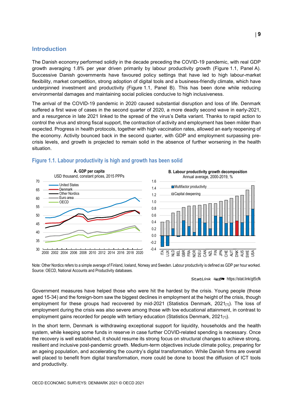#### **Introduction**

The Danish economy performed solidly in the decade preceding the COVID-19 pandemic, with real GDP growth averaging 1.8% per year driven primarily by labour productivity growth [\(Figure](#page-8-0) 1.1, Panel A). Successive Danish governments have favoured policy settings that have led to high labour-market flexibility, market competition, strong adoption of digital tools and a business-friendly climate, which have underpinned investment and productivity [\(Figure](#page-8-0) 1.1, Panel B). This has been done while reducing environmental damages and maintaining social policies conducive to high inclusiveness.

The arrival of the COVID-19 pandemic in 2020 caused substantial disruption and loss of life. Denmark suffered a first wave of cases in the second quarter of 2020, a more deadly second wave in early-2021, and a resurgence in late 2021 linked to the spread of the virus's Delta variant. Thanks to rapid action to control the virus and strong fiscal support, the contraction of activity and employment has been milder than expected. Progress in health protocols, together with high vaccination rates, allowed an early reopening of the economy. Activity bounced back in the second quarter, with GDP and employment surpassing precrisis levels, and growth is projected to remain solid in the absence of further worsening in the health situation.



<span id="page-8-0"></span>



Note: Other Nordics refers to a simple average of Finland, Iceland, Norway and Sweden. Labour productivity is defined as GDP per hour worked. Source: OECD, National Accounts and Productivity databases.

StatLink **2012** <https://stat.link/gt5cfk>

Government measures have helped those who were hit the hardest by the crisis. Young people (those aged 15-34) and the foreign-born saw the biggest declines in employment at the height of the crisis, though employment for these groups had recovered by mid-2021 (Statistics Denmark,  $2021_{[1]}$ ). The loss of employment during the crisis was also severe among those with low educational attainment, in contrast to employment gains recorded for people with tertiary education (Statistics Denmark,  $2021_{[1]}$ ).

In the short term, Denmark is withdrawing exceptional support for liquidity, households and the health system, while keeping some funds in reserve in case further COVID-related spending is necessary. Once the recovery is well established, it should resume its strong focus on structural changes to achieve strong, resilient and inclusive post-pandemic growth. Medium-term objectives include climate policy, preparing for an ageing population, and accelerating the country's digital transformation. While Danish firms are overall well placed to benefit from digital transformation, more could be done to boost the diffusion of ICT tools and productivity.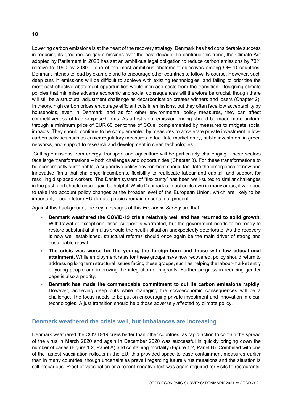Lowering carbon emissions is at the heart of the recovery strategy. Denmark has had considerable success in reducing its greenhouse gas emissions over the past decade. To continue this trend, the Climate Act adopted by Parliament in 2020 has set an ambitious legal obligation to reduce carbon emissions by 70% relative to 1990 by 2030 – one of the most ambitious abatement objectives among OECD countries. Denmark intends to lead by example and to encourage other countries to follow its course. However, such deep cuts in emissions will be difficult to achieve with existing technologies, and failing to prioritise the most cost-effective abatement opportunities would increase costs from the transition. Designing climate policies that minimise adverse economic and social consequences will therefore be crucial, though there will still be a structural adjustment challenge as decarbonisation creates winners and losers (Chapter 2). In theory, high carbon prices encourage efficient cuts in emissions, but they often face low acceptability by households, even in Denmark, and as for other environmental policy measures, they can affect competitiveness of trade-exposed firms. As a first step, emission pricing should be made more uniform through a minimum price of EUR 60 per tonne of  $CO<sub>2</sub>e$ , complemented by measures to mitigate social impacts. They should continue to be complemented by measures to accelerate private investment in lowcarbon activities such as easier regulatory measures to facilitate market entry, public investment in green networks, and support to research and development in clean technologies.

Cutting emissions from energy, transport and agriculture will be particularly challenging. These sectors face large transformations – both challenges and opportunities (Chapter 3). For these transformations to be economically sustainable, a supportive policy environment should facilitate the emergence of new and innovative firms that challenge incumbents, flexibility to reallocate labour and capital, and support for reskilling displaced workers. The Danish system of "flexicurity" has been well-suited to similar challenges in the past, and should once again be helpful. While Denmark can act on its own in many areas, it will need to take into account policy changes at the broader level of the European Union, which are likely to be important, though future EU climate policies remain uncertain at present.

Against this background, the key messages of this *Economic Survey* are that:

- **Denmark weathered the COVID-19 crisis relatively well and has returned to solid growth.** Withdrawal of exceptional fiscal support is warranted, but the government needs to be ready to restore substantial stimulus should the health situation unexpectedly deteriorate. As the recovery is now well established, structural reforms should once again be the main driver of strong and sustainable growth.
- **The crisis was worse for the young, the foreign-born and those with low educational attainment.** While employment rates for these groups have now recovered, policy should return to addressing long term structural issues facing these groups, such as helping the labour-market entry of young people and improving the integration of migrants. Further progress in reducing gender gaps is also a priority.
- **Denmark has made the commendable commitment to cut its carbon emissions rapidly**. However, achieving deep cuts while managing the socioeconomic consequences will be a challenge. The focus needs to be put on encouraging private investment and innovation in clean technologies. A just transition should help those adversely affected by climate policy.

#### **Denmark weathered the crisis well, but imbalances are increasing**

Denmark weathered the COVID-19 crisis better than other countries, as rapid action to contain the spread of the virus in March 2020 and again in December 2020 was successful in quickly bringing down the number of cases [\(Figure](#page-10-0) 1.2, Panel A) and containing mortality [\(Figure](#page-10-0) 1.2, Panel B). Combined with one of the fastest vaccination rollouts in the EU, this provided space to ease containment measures earlier than in many countries, though uncertainties prevail regarding future virus mutations and the situation is still precarious. Proof of vaccination or a recent negative test was again required for visits to restaurants,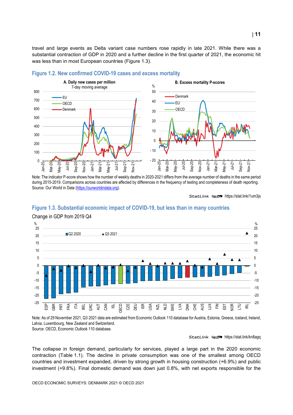travel and large events as Delta variant case numbers rose rapidly in late 2021. While there was a substantial contraction of GDP in 2020 and a further decline in the first quarter of 2021, the economic hit was less than in most European countries [\(Figure](#page-10-1) 1.3).



#### <span id="page-10-0"></span>**Figure 1.2. New confirmed COVID-19 cases and excess mortality**

Note: The indicator P-score shows how the number of weekly deaths in 2020-2021 differs from the average number of deaths in the same period during 2015-2019. Comparisons across countries are affected by differences in the frequency of testing and completeness of death reporting. Source: Our World in Data [\(https://ourworldindata.org\).](https://ourworldindata.org/)

StatLink **2018** <https://stat.link/1um3js>

#### <span id="page-10-1"></span>**Figure 1.3. Substantial economic impact of COVID-19, but less than in many countries**



Change in GDP from 2019 Q4

Note: As of 29 November 2021, Q3 2021 data are estimated from Economic Outlook 110 database for Austria, Estonia, Greece, Iceland, Ireland, Latvia, Luxembourg, New Zealand and Switzerland.

Source: OECD, Economic Outlook 110 database.

#### StatLink **2018** <https://stat.link/kn8agq>

The collapse in foreign demand, particularly for services, played a large part in the 2020 economic contraction [\(Table](#page-11-0) 1.1). The decline in private consumption was one of the smallest among OECD countries and investment expanded, driven by strong growth in housing construction (+6.9%) and public investment (+9.8%). Final domestic demand was down just 0.8%, with net exports responsible for the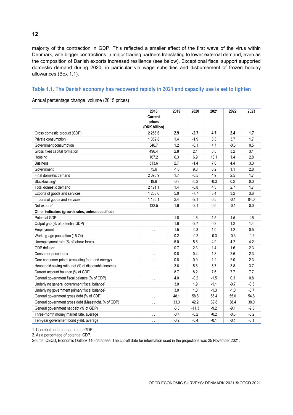majority of the contraction in GDP. This reflected a smaller effect of the first wave of the virus within Denmark, with bigger contractions in major trading partners translating to lower external demand, even as the composition of Danish exports increased resilience (see below). Exceptional fiscal support supported domestic demand during 2020, in particular via wage subsidies and disbursement of frozen holiday allowances [\(Box](#page-12-0) 1.1).

#### <span id="page-11-0"></span>**Table 1.1. The Danish economy has recovered rapidly in 2021 and capacity use is set to tighten**

Annual percentage change, volume (2015 prices)

|                                                           | 2018<br>Current         | 2019   | 2020    | 2021   | 2022   | 2023   |
|-----------------------------------------------------------|-------------------------|--------|---------|--------|--------|--------|
|                                                           | prices<br>(DKK billion) |        |         |        |        |        |
| Gross domestic product (GDP)                              | 2 2 5 3.6               | 2.9    | $-2.7$  | 4.7    | 2.4    | 1.7    |
| Private consumption                                       | 1 0 5 2.8               | 1.4    | $-1.9$  | 3.3    | 3.7    | 1.7    |
| Government consumption                                    | 546.7                   | 1.2    | $-0.1$  | 4.7    | $-0.3$ | 0.5    |
| Gross fixed capital formation                             | 496.4                   | 2.8    | 2.1     | 8.3    | 3.2    | 3.1    |
| Housing                                                   | 107.2                   | 6.3    | 6.9     | 13.1   | 1.4    | 2.8    |
| <b>Business</b>                                           | 313.6                   | 2.7    | $-1.4$  | 7.0    | 4.4    | 3.3    |
| Government                                                | 75.6                    | $-1.6$ | 9.8     | 6.2    | 1.1    | 2.8    |
| Final domestic demand                                     | 2095.9                  | 1.7    | $-0.5$  | 4.9    | 2.5    | 1.7    |
| Stockbuilding <sup>1</sup>                                | 19.6                    | $-0.3$ | $-0.2$  | $-0.3$ | 0.2    | 0.0    |
| Total domestic demand                                     | 2 1 2 1 . 1             | 1.4    | $-0.8$  | 4.5    | 2.7    | 1.7    |
| Exports of goods and services                             | 1 2 68.6                | 5.0    | $-7.7$  | 3.4    | 3.2    | 3.6    |
| Imports of goods and services                             | 1 1 36.1                | 2.4    | $-2.1$  | 0.5    | $-0.1$ | 04.0   |
| Net exports <sup>1</sup>                                  | 132.5                   | 1.6    | $-2.1$  | 0.5    | $-0.1$ | 0.0    |
| Other indicators (growth rates, unless specified)         |                         |        |         |        |        |        |
| <b>Potential GDP</b>                                      |                         | 1.8    | 1.6     | 1.5    | 1.5    | 1.5    |
| Output gap (% of potential GDP)                           |                         | 1.6    | $-2.7$  | 0.3    | 1.2    | 1.4    |
| Employment                                                | $\ddot{\phantom{1}}$    | 1.5    | $-0.8$  | 1.0    | 1.2    | 0.5    |
| Working-age population (15-74)                            |                         | 0.2    | $-0.2$  | $-0.3$ | $-0.3$ | $-0.2$ |
| Unemployment rate (% of labour force)                     | $\ddot{\phantom{0}}$    | 5.0    | 5.6     | 4.9    | 4.2    | 4.2    |
| GDP deflator                                              | $\ddot{\phantom{0}}$    | 0.7    | 2.3     | 1.4    | 1.6    | 2.3    |
| Consumer price index                                      | $\ddot{\phantom{0}}$    | 0.8    | 0.4     | 1.8    | 2.6    | 2.3    |
| Core consumer prices (excluding food and energy)          | μ.                      | 0.8    | 0.9     | 1.2    | 2.0    | 2.3    |
| Household saving ratio, net (% of disposable income)      | $\ddot{\phantom{0}}$    | 3.6    | 5.8     | 5.7    | 3.8    | 3.7    |
| Current account balance (% of GDP)                        | $\ddot{\phantom{0}}$    | 8.7    | 8.2     | 7.6    | 7.7    | 7.7    |
| General government fiscal balance (% of GDP)              | $\ddot{\phantom{0}}$    | 4.0    | $-0.2$  | $-1.5$ | 0.3    | 0.8    |
| Underlying general government fiscal balance <sup>2</sup> |                         | 3.0    | 1.9     | $-1.1$ | $-0.7$ | $-0.3$ |
| Underlying government primary fiscal balance <sup>2</sup> |                         | 3.0    | 1.8     | $-1.3$ | $-1.0$ | $-0.7$ |
| General government gross debt (% of GDP)                  | $\ddotsc$               | 48.1   | 58.8    | 56.4   | 55.0   | 54.6   |
| General government gross debt (Maastricht, % of GDP)      | $\ddot{\phantom{0}}$    | 33.3   | 42.2    | 39.8   | 38.4   | 38.0   |
| General government net debt (% of GDP)                    |                         | $-6.3$ | $-11.3$ | $-9.2$ | $-9.1$ | $-9.5$ |
| Three-month money market rate, average                    | $\ddot{\phantom{0}}$    | $-0.4$ | $-0.2$  | $-0.2$ | $-0.3$ | $-0.2$ |
| Ten-year government bond yield, average                   | $\ddot{\phantom{0}}$    | $-0.2$ | $-0.4$  | $-0.1$ | $-0.1$ | $-0.1$ |

1. Contribution to change in real GDP.

2. As a percentage of potential GDP.

Source: OECD, Economic Outlook 110 database. The cut-off date for information used in the projections was 25 November 2021.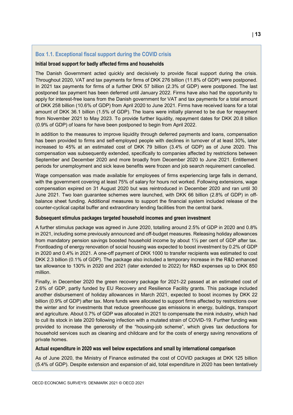#### <span id="page-12-0"></span>**Box 1.1. Exceptional fiscal support during the COVID crisis**

#### **Initial broad support for badly affected firms and households**

The Danish Government acted quickly and decisively to provide fiscal support during the crisis. Throughout 2020, VAT and tax payments for firms of DKK 276 billion (11.8% of GDP) were postponed. In 2021 tax payments for firms of a further DKK 57 billion (2.3% of GDP) were postponed. The last postponed tax payment has been deferred until January 2022. Firms have also had the opportunity to apply for interest-free loans from the Danish government for VAT and tax payments for a total amount of DKK 258 billion (10.6% of GDP) from April 2020 to June 2021. Firms have received loans for a total amount of DKK 36.1 billion (1.5% of GDP). The loans were initially planned to be due for repayment from November 2021 to May 2023. To provide further liquidity, repayment dates for DKK 20.8 billion (0.9% of GDP) of loans for have been postponed to begin from April 2022.

In addition to the measures to improve liquidity through deferred payments and loans, compensation has been provided to firms and self-employed people with declines in turnover of at least 30%, later increased to 45% at an estimated cost of DKK 79 billion (3.4% of GDP) as of June 2020. This compensation was subsequently extended, specifically to companies affected by restrictions between September and December 2020 and more broadly from December 2020 to June 2021. Entitlement periods for unemployment and sick leave benefits were frozen and job search requirement cancelled.

Wage compensation was made available for employees of firms experiencing large falls in demand, with the government covering at least 75% of salary for hours not worked. Following extensions, wage compensation expired on 31 August 2020 but was reintroduced in December 2020 and ran until 30 June 2021. Two loan guarantee schemes were launched, with DKK 66 billion (2.8% of GDP) in offbalance sheet funding. Additional measures to support the financial system included release of the counter-cyclical capital buffer and extraordinary lending facilities from the central bank.

#### **Subsequent stimulus packages targeted household incomes and green investment**

A further stimulus package was agreed in June 2020, totalling around 2.5% of GDP in 2020 and 0.8% in 2021, including some previously announced and off-budget measures. Releasing holiday allowances from mandatory pension savings boosted household income by about 1<sup>1</sup>/<sub>2</sub> per cent of GDP after tax. Frontloading of energy renovation of social housing was expected to boost investment by 0.2% of GDP in 2020 and 0.4% in 2021. A one-off payment of DKK 1000 to transfer recipients was estimated to cost DKK 2.3 billion (0.1% of GDP). The package also included a temporary increase in the R&D enhanced tax allowance to 130% in 2020 and 2021 (later extended to 2022) for R&D expenses up to DKK 850 million.

Finally, in December 2020 the green recovery package for 2021-22 passed at an estimated cost of 2.6% of GDP, partly funded by EU Recovery and Resilience Facility grants. This package included another disbursement of holiday allowances in March 2021, expected to boost incomes by DKK 22 billion (0.9% of GDP) after tax. More funds were allocated to support firms affected by restrictions over the winter and for investments that reduce greenhouse gas emissions in energy, buildings, transport and agriculture. About 0.7% of GDP was allocated in 2021 to compensate the mink industry, which had to cull its stock in late 2020 following infection with a mutated strain of COVID-19. Further funding was provided to increase the generosity of the "housing-job scheme", which gives tax deductions for household services such as cleaning and childcare and for the costs of energy saving renovations of private homes.

#### **Actual expenditure in 2020 was well below expectations and small by international comparison**

As of June 2020, the Ministry of Finance estimated the cost of COVID packages at DKK 125 billion (5.4% of GDP). Despite extension and expansion of aid, total expenditure in 2020 has been tentatively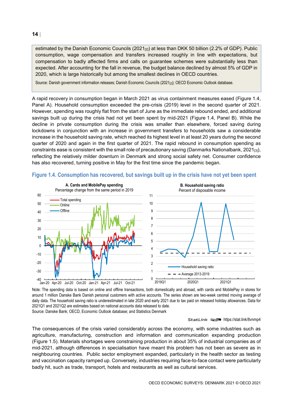estimated by the Danish Economic Councils  $(2021_{[2]})$  at less than DKK 50 billion (2.2% of GDP). Public consumption, wage compensation and transfers increased roughly in line with expectations, but compensation to badly affected firms and calls on guarantee schemes were substantially less than expected. After accounting for the fall in revenue, the budget balance declined by almost 5% of GDP in 2020, which is large historically but among the smallest declines in OECD countries.

Source: Danish government information releases; Danish Economic Councils (2021<sub>[2]</sub>); OECD Economic Outlook database.

A rapid recovery in consumption began in March 2021 as virus containment measures eased [\(Figure](#page-13-0) 1.4, Panel A). Household consumption exceeded the pre-crisis (2019) level in the second quarter of 2021. However, spending was roughly flat from the start of June as the immediate rebound ended, and additional savings built up during the crisis had not yet been spent by mid-2021 [\(Figure](#page-13-0) 1.4, Panel B). While the decline in private consumption during the crisis was smaller than elsewhere, forced saving during lockdowns in conjunction with an increase in government transfers to households saw a considerable increase in the household saving rate, which reached its highest level in at least 20 years during the second quarter of 2020 and again in the first quarter of 2021. The rapid rebound in consumption spending as constraints ease is consistent with the small role of precautionary saving (Danmarks Nationalbank, 2021 $_{[3]}$ ), reflecting the relatively milder downturn in Denmark and strong social safety net. Consumer confidence has also recovered, turning positive in May for the first time since the pandemic began.



<span id="page-13-0"></span>

Note: The spending data is based on online and offline transactions, both domestically and abroad, with cards and MobilePay in stores for around 1 million Danske Bank Danish personal customers with active accounts. The series shown are two-week centred moving average of daily data. The household saving ratio is underestimated in late 2020 and early 2021 due to tax paid on released holiday allowances. Data for 2021Q1 and 2021Q2 are estimates based on national accounts data released to date. Source: Danske Bank; OECD, Economic Outlook database; and Statistics Denmark

StatLink **<sub>15</sub>P** <https://stat.link/8vnmp4>

The consequences of the crisis varied considerably across the economy, with some industries such as agriculture, manufacturing, construction and information and communication expanding production [\(Figure](#page-15-0) 1.5). Materials shortages were constraining production in about 35% of industrial companies as of mid-2021, although differences in specialisation have meant this problem has not been as severe as in neighbouring countries. Public sector employment expanded, particularly in the health sector as testing and vaccination capacity ramped up. Conversely, industries requiring face-to-face contact were particularly badly hit, such as trade, transport, hotels and restaurants as well as cultural services.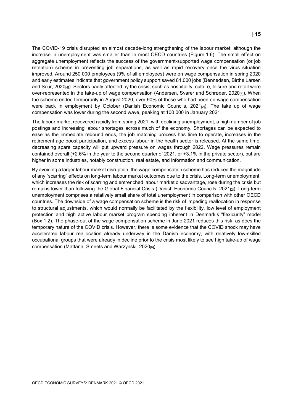The COVID-19 crisis disrupted an almost decade-long strengthening of the labour market, although the increase in unemployment was smaller than in most OECD countries [\(Figure](#page-16-0) 1.6). The small effect on aggregate unemployment reflects the success of the government-supported wage compensation (or job retention) scheme in preventing job separations, as well as rapid recovery once the virus situation improved. Around 250 000 employees (9% of all employees) were on wage compensation in spring 2020 and early estimates indicate that government policy support saved 81,000 jobs (Bennedsen, Birthe Larsen and Scur, 2020[4]). Sectors badly affected by the crisis, such as hospitality, culture, leisure and retail were over-represented in the take-up of wage compensation (Andersen, Svarer and Schrøder, 2020[5]). When the scheme ended temporarily in August 2020, over 90% of those who had been on wage compensation were back in employment by October (Danish Economic Councils, 2021<sub>[21</sub>). The take up of wage compensation was lower during the second wave, peaking at 100 000 in January 2021.

The labour market recovered rapidly from spring 2021, with declining unemployment, a high number of job postings and increasing labour shortages across much of the economy. Shortages can be expected to ease as the immediate rebound ends, the job matching process has time to operate, increases in the retirement age boost participation, and excess labour in the health sector is released. At the same time, decreasing spare capacity will put upward pressure on wages through 2022. Wage pressures remain contained overall (+2.6% in the year to the second quarter of 2021, or +3.1% in the private sector), but are higher in some industries, notably construction, real estate, and information and communication.

By avoiding a larger labour market disruption, the wage compensation scheme has reduced the magnitude of any "scarring" effects on long-term labour market outcomes due to the crisis. Long-term unemployment, which increases the risk of scarring and entrenched labour market disadvantage, rose during the crisis but remains lower than following the Global Financial Crisis (Danish Economic Councils, 2021<sub>[2]</sub>). Long-term unemployment comprises a relatively small share of total unemployment in comparison with other OECD countries. The downside of a wage compensation scheme is the risk of impeding reallocation in response to structural adjustments, which would normally be facilitated by the flexibility, low level of employment protection and high active labour market program spending inherent in Denmark's "flexicurity" model [\(Box](#page-15-1) 1.2). The phase-out of the wage compensation scheme in June 2021 reduces this risk, as does the temporary nature of the COVID crisis. However, there is some evidence that the COVID shock may have accelerated labour reallocation already underway in the Danish economy, with relatively low-skilled occupational groups that were already in decline prior to the crisis most likely to see high take-up of wage compensation (Mattana, Smeets and Warzynski, 2020<sub>[6]</sub>).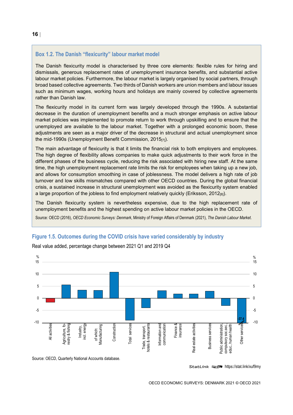#### <span id="page-15-1"></span>**Box 1.2. The Danish "flexicurity" labour market model**

The Danish flexicurity model is characterised by three core elements: flexible rules for hiring and dismissals, generous replacement rates of unemployment insurance benefits, and substantial active labour market policies. Furthermore, the labour market is largely organised by social partners, through broad based collective agreements. Two thirds of Danish workers are union members and labour issues such as minimum wages, working hours and holidays are mainly covered by collective agreements rather than Danish law.

The flexicurity model in its current form was largely developed through the 1990s. A substantial decrease in the duration of unemployment benefits and a much stronger emphasis on active labour market policies was implemented to promote return to work through upskilling and to ensure that the unemployed are available to the labour market. Together with a prolonged economic boom, these adjustments are seen as a major driver of the decrease in structural and actual unemployment since the mid-1990s (Unemployment Benefit Commission, 2015<sup>[7]</sup>).

The main advantage of flexicurity is that it limits the financial risk to both employers and employees. The high degree of flexibility allows companies to make quick adjustments to their work force in the different phases of the business cycle, reducing the risk associated with hiring new staff. At the same time, the high unemployment replacement rate limits the risk for employees when taking up a new job, and allows for consumption smoothing in case of joblessness. The model delivers a high rate of job turnover and low skills mismatches compared with other OECD countries. During the global financial crisis, a sustained increase in structural unemployment was avoided as the flexicurity system enabled a large proportion of the jobless to find employment relatively quickly (Eriksson, 2012 $_{\text{[8]}}$ ).

The Danish flexicurity system is nevertheless expensive, due to the high replacement rate of unemployment benefits and the highest spending on active labour market policies in the OECD.

Source: OECD (2016), *OECD Economic Surveys: Denmark*, Ministry of Foreign Affairs of Denmark (2021), *The Danish Labour Market*.

<span id="page-15-0"></span>**Figure 1.5. Outcomes during the COVID crisis have varied considerably by industry**



Real value added, percentage change between 2021 Q1 and 2019 Q4

Source: OECD, Quarterly National Accounts database.

StatLink  $\sqrt{2\pi}$  <https://stat.link/xuf9my>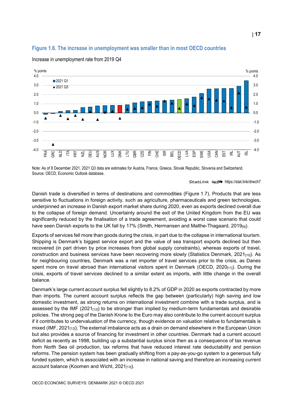#### <span id="page-16-0"></span>**Figure 1.6. The increase in unemployment was smaller than in most OECD countries**



Increase in unemployment rate from 2019 Q4

Note: As of 8 December 2021, 2021 Q3 data are estimates for Austria, France, Greece, Slovak Republic, Slovenia and Switzerland. Source: OECD, Economic Outlook database.

#### StatLink **anset** <https://stat.link/drwch7>

Danish trade is diversified in terms of destinations and commodities [\(Figure](#page-17-0) 1.7). Products that are less sensitive to fluctuations in foreign activity, such as agriculture, pharmaceuticals and green technologies, underpinned an increase in Danish export market share during 2020, even as exports declined overall due to the collapse of foreign demand. Uncertainty around the exit of the United Kingdom from the EU was significantly reduced by the finalisation of a trade agreement, avoiding a worst case scenario that could have seen Danish exports to the UK fall by 17% (Smith, Hermansen and Malthe-Thagaard, 2019[9]).

Exports of services fell more than goods during the crisis, in part due to the collapse in international tourism. Shipping is Denmark's biggest service export and the value of sea transport exports declined but then recovered (in part driven by price increases from global supply constraints), whereas exports of travel, construction and business services have been recovering more slowly (Statistics Denmark, 2021 $_{100}$ ). As for neighbouring countries, Denmark was a net importer of travel services prior to the crisis, as Danes spent more on travel abroad than international visitors spent in Denmark (OECD,  $2020_{[11]}$ ). During the crisis, exports of travel services declined to a similar extent as imports, with little change in the overall balance.

Denmark's large current account surplus fell slightly to 8.2% of GDP in 2020 as exports contracted by more than imports. The current account surplus reflects the gap between (particularly) high saving and low domestic investment, as strong returns on international investment combine with a trade surplus, and is assessed by the IMF  $(2021_{112})$  to be stronger than implied by medium-term fundamentals and desirable policies. The strong peg of the Danish Krone to the Euro may also contribute to the current account surplus if it contributes to undervaluation of the currency, though evidence on valuation relative to fundamentals is mixed (IMF, 2021 $_{[12]}$ ). The external imbalance acts as a drain on demand elsewhere in the European Union but also provides a source of financing for investment in other countries. Denmark had a current account deficit as recently as 1998, building up a substantial surplus since then as a consequence of tax revenue from North Sea oil production, tax reforms that have reduced interest rate deductability and pension reforms. The pension system has been gradually shifting from a pay-as-you-go system to a generous fully funded system, which is associated with an increase in national saving and therefore an increasing current account balance (Koomen and Wicht,  $2021_{[13]}$ ).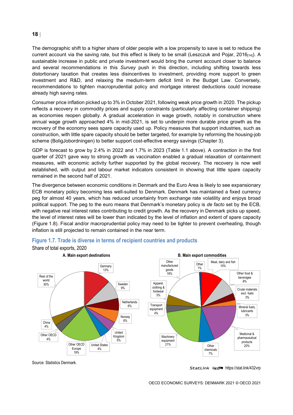The demographic shift to a higher share of older people with a low propensity to save is set to reduce the current account via the saving rate, but this effect is likely to be small (Leszczuk and Pojar, 2016 $_{[14]}$ ). A sustainable increase in public and private investment would bring the current account closer to balance and several recommendations in this *Survey* push in this direction, including shifting towards less distortionary taxation that creates less disincentives to investment, providing more support to green investment and R&D, and relaxing the medium-term deficit limit in the Budget Law. Conversely, recommendations to tighten macroprudential policy and mortgage interest deductions could increase already high saving rates.

Consumer price inflation picked up to 3% in October 2021, following weak price growth in 2020. The pickup reflects a recovery in commodity prices and supply constraints (particularly affecting container shipping) as economies reopen globally. A gradual acceleration in wage growth, notably in construction where annual wage growth approached 4% in mid-2021, is set to underpin more durable price growth as the recovery of the economy sees spare capacity used up. Policy measures that support industries, such as construction, with little spare capacity should be better targeted, for example by reforming the housing-job scheme (BoligJobordningen) to better support cost-effective energy savings (Chapter 3).

GDP is forecast to grow by 2.4% in 2022 and 1.7% in 2023 [\(Table](#page-11-0) 1.1 above). A contraction in the first quarter of 2021 gave way to strong growth as vaccination enabled a gradual relaxation of containment measures, with economic activity further supported by the global recovery. The recovery is now well established, with output and labour market indicators consistent in showing that little spare capacity remained in the second half of 2021.

The divergence between economic conditions in Denmark and the Euro Area is likely to see expansionary ECB monetary policy becoming less well-suited to Denmark. Denmark has maintained a fixed currency peg for almost 40 years, which has reduced uncertainty from exchange rate volatility and enjoys broad political support. The peg to the euro means that Denmark's monetary policy is *de facto* set by the ECB, with negative real interest rates contributing to credit growth. As the recovery in Denmark picks up speed, the level of interest rates will be lower than indicated by the level of inflation and extent of spare capacity [\(Figure](#page-18-0) 1.8). Fiscal and/or macroprudential policy may need to be tighter to prevent overheating, though inflation is still projected to remain contained in the near term.



#### <span id="page-17-0"></span>**Figure 1.7. Trade is diverse in terms of recipient countries and products**

Share of total exports, 2020

Source: Statistics Denmark.

StatLink **2018** <https://stat.link/432vrp>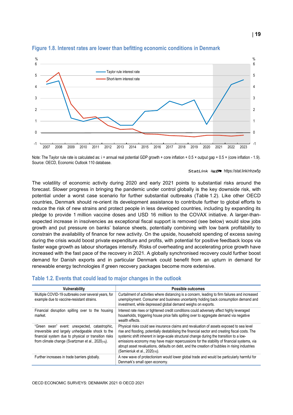

#### <span id="page-18-0"></span>**Figure 1.8. Interest rates are lower than befitting economic conditions in Denmark**

Note: The Taylor rule rate is calculated as: i = annual real potential GDP growth + core inflation + 0.5 × output gap + 0.5 × (core inflation - 1.9). Source: OECD, Economic Outlook 110 database.

StatLink **2018** <https://stat.link/nhzw5p>

The volatility of economic activity during 2020 and early 2021 points to substantial risks around the forecast. Slower progress in bringing the pandemic under control globally is the key downside risk, with potential under a worst case scenario for further substantial outbreaks [\(Table](#page-18-1) 1.2). Like other OECD countries, Denmark should re-orient its development assistance to contribute further to global efforts to reduce the risk of new strains and protect people in less developed countries, including by expanding its pledge to provide 1 million vaccine doses and USD 16 million to the COVAX initiative. A larger-thanexpected increase in insolvencies as exceptional fiscal support is removed (see below) would slow jobs growth and put pressure on banks' balance sheets, potentially combining with low bank profitability to constrain the availability of finance for new activity. On the upside, household spending of excess saving during the crisis would boost private expenditure and profits, with potential for positive feedback loops via faster wage growth as labour shortages intensify. Risks of overheating and accelerating price growth have increased with the fast pace of the recovery in 2021. A globally synchronised recovery could further boost demand for Danish exports and in particular Denmark could benefit from an upturn in demand for renewable energy technologies if green recovery packages become more extensive.

#### <span id="page-18-1"></span>**Table 1.2. Events that could lead to major changes in the outlook**

| Vulnerability                                                                                                                                                                                                   | Possible outcomes                                                                                                                                                                                                                                                                                                                                                                                                                                                                                                                     |
|-----------------------------------------------------------------------------------------------------------------------------------------------------------------------------------------------------------------|---------------------------------------------------------------------------------------------------------------------------------------------------------------------------------------------------------------------------------------------------------------------------------------------------------------------------------------------------------------------------------------------------------------------------------------------------------------------------------------------------------------------------------------|
| Multiple COVID-19 outbreaks over several years, for<br>example due to vaccine-resistant strains.                                                                                                                | Curtailment of activities where distancing is a concern, leading to firm failures and increased<br>unemployment. Consumer and business uncertainty holding back consumption demand and<br>investment, while depressed global demand weighs on exports.                                                                                                                                                                                                                                                                                |
| Financial disruption spilling over to the housing<br>market.                                                                                                                                                    | Interest rate rises or tightened credit conditions could adversely affect highly leveraged<br>households, triggering house price falls spilling over to aggregate demand via negative<br>wealth effects.                                                                                                                                                                                                                                                                                                                              |
| "Green swan" event: unexpected, catastrophic,<br>irreversible and largely unhedgeable shock to the<br>financial system due to physical or transition risks<br>from climate change (Svartzman et al., 2020[15]). | Physical risks could see insurance claims and revaluation of assets exposed to sea level<br>rise and flooding, potentially destabilising the financial sector and creating fiscal costs. The<br>systemic shift inherent in large-scale structural change during the transition to a low-<br>emissions economy may have major repercussions for the stability of financial systems, via<br>abrupt asset revaluations, defaults on debt, and the creation of bubbles in rising industries<br>(Semieniuk et al., 2020 <sub>[16]</sub> ). |
| Further increases in trade barriers globally.                                                                                                                                                                   | A new wave of protectionism would lower global trade and would be particularly harmful for<br>Denmark's small open economy.                                                                                                                                                                                                                                                                                                                                                                                                           |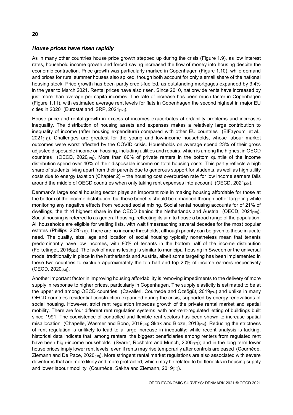#### *House prices have risen rapidly*

As in many other countries house price growth stepped up during the crisis [\(Figure](#page-20-0) 1.9), as low interest rates, household income growth and forced saving increased the flow of money into housing despite the economic contraction. Price growth was particularly marked in Copenhagen [\(Figure](#page-20-1) 1.10), while demand and prices for rural summer houses also spiked, though both account for only a small share of the national housing stock. Price growth has been partly credit-fuelled, as outstanding mortgages expanded by 3.4% in the year to March 2021. Rental prices have also risen. Since 2010, nationwide rents have increased by just more than average per capita incomes. The rate of increase has been much faster in Copenhagen [\(Figure](#page-21-0) 1.11), with estimated average rent levels for flats in Copenhagen the second highest in major EU cities in 2020 (Eurostat and iSRP, 2021 $_{[17]}$ ).

House price and rental growth in excess of incomes exacerbates affordability problems and increases inequality. The distribution of housing assets and expenses makes a relatively large contribution to inequality of income (after housing expenditure) compared with other EU countries (ElFayoumi et al.,  $2021_{[18]}$ ). Challenges are greatest for the young and low-income households, whose labour market outcomes were worst affected by the COVID crisis. Households on average spend 23% of their gross adjusted disposable income on housing, including utilities and repairs, which is among the highest in OECD countries (OECD, 2020[19]). More than 80% of private renters in the bottom quintile of the income distribution spend over 40% of their disposable income on total housing costs. This partly reflects a high share of students living apart from their parents due to generous support for students, as well as high utility costs due to energy taxation (Chapter 2) – the housing cost overburden rate for low income earners falls around the middle of OECD countries when only taking rent expenses into account (OECD,  $2021_{[20]}$ ).

Denmark's large social housing sector plays an important role in making housing affordable for those at the bottom of the income distribution, but these benefits should be enhanced through better targeting while monitoring any negative effects from reduced social mixing. Social rental housing accounts for of 21% of dwellings, the third highest share in the OECD behind the Netherlands and Austria (OECD,  $2021_{[20]}$ ). Social housing is referred to as general housing, reflecting its aim to house a broad range of the population. All households are eligible for waiting lists, with wait timesreaching several decades for the most popular estates (Phillips, 2020 $_{[21]}$ ). There are no income thresholds, although priority can be given to those in acute need. The quality, size, age and location of social housing typically nonetheless mean that tenants predominantly have low incomes, with 80% of tenants in the bottom half of the income distribution (Folketinget, 2016[22]). The lack of means testing is similar to municipal housing in Sweden or the universal model traditionally in place in the Netherlands and Austria, albeit some targeting has been implemented in these two countries to exclude approximately the top half and top 20% of income earners respectively (OECD, 2020[23]).

Another important factor in improving housing affordability is removing impediments to the delivery of more supply in response to higher prices, particularly in Copenhagen. The supply elasticity is estimated to be at the upper end among OECD countries (Cavalleri, Cournède and Özsöğüt, 2019<sub>[24]</sub>) and unlike in many OECD countries residential construction expanded during the crisis, supported by energy renovations of social housing. However, strict rent regulation impedes growth of the private rental market and spatial mobility. There are four different rent regulation systems, with non-rent-regulated letting of buildings built since 1991. The coexistence of controlled and flexible rent sectors has been shown to increase spatial misallocation (Chapelle, Wasmer and Bono, 2019<sub>[25]</sub>; Skak and Bloze, 2013<sub>[26]</sub>). Reducing the strictness of rent regulation is unlikely to lead to a large increase in inequality: while recent analysis is lacking, historical data indicate that, among renters, the biggest beneficiaries among renters from regulated rent have been high-income households (Svarer, Rosholm and Munch,  $2005_{[27]}$ ); and in the long term lower house prices imply lower rent levels, even if rents may rise temporarily after controls are eased (Cournède, Ziemann and De Pace, 2020<sub>[28]</sub>). More stringent rental market regulations are also associated with severe downturns that are more likely and more protracted, which may be related to bottlenecks in housing supply and lower labour mobility (Cournède, Sakha and Ziemann, 2019<sub>[29]</sub>).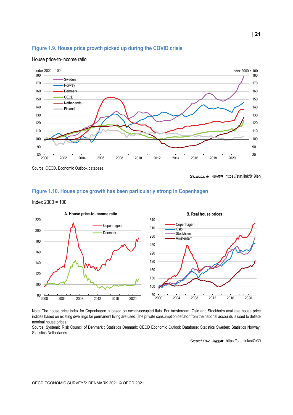#### <span id="page-20-0"></span>**Figure 1.9. House price growth picked up during the COVID crisis**



#### House price-to-income ratio

StatLink **2018** <https://stat.link/819leh>

#### <span id="page-20-1"></span>**Figure 1.10. House price growth has been particularly strong in Copenhagen**

Index 2000 = 100



Note: The house price index for Copenhagen is based on owner-occupied flats. For Amsterdam, Oslo and Stockholm available house price indices based on existing dwellings for permanent living are used. The private consumption deflator from the national accounts is used to deflate nominal house prices.

Source: Systemic Risk Council of Denmark ; Statistics Denmark; OECD Economic Outlook Database; Statistics Sweden; Statistics Norway; Statistics Netherlands.

StatLink **2018** <https://stat.link/si7e30>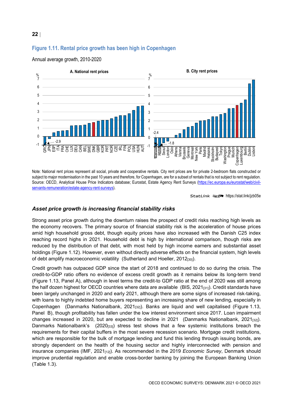#### <span id="page-21-0"></span>**Figure 1.11. Rental price growth has been high in Copenhagen**



Annual average growth, 2010-2020

Note: National rent prices represent all social, private and cooperative rentals. City rent prices are for private 2-bedroom flats constructed or subject to major modernisation in the past 10 years and therefore, for Copenhagen, are for a subset of rentals that is not subject to rent regulation. Source: OECD, Analytical House Price Indicators database; Eurostat, Estate Agency Rent Surveys [\(https://ec.europa.eu/eurostat/web/civil](https://ec.europa.eu/eurostat/web/civil-servants-remuneration/estate-agency-rent-surveys)[servants-remuneration/estate-agency-rent-surveys\).](https://ec.europa.eu/eurostat/web/civil-servants-remuneration/estate-agency-rent-surveys)

StatLink **<sub>200</sub>0** <https://stat.link/jzb05e>

#### *Asset price growth is increasing financial stability risks*

Strong asset price growth during the downturn raises the prospect of credit risks reaching high levels as the economy recovers. The primary source of financial stability risk is the acceleration of house prices amid high household gross debt, though equity prices have also increased with the Danish C25 index reaching record highs in 2021. Household debt is high by international comparison, though risks are reduced by the distribution of that debt, with most held by high income earners and substantial asset holdings [\(Figure](#page-22-0) 1.12). However, even without directly adverse effects on the financial system, high levels of debt amplify macroeconomic volatility (Sutherland and Hoeller, 2012[30]).

Credit growth has outpaced GDP since the start of 2018 and continued to do so during the crisis. The credit-to-GDP ratio offers no evidence of excess credit growth as it remains below its long-term trend [\(Figure](#page-23-0) 1.13, Panel A), although in level terms the credit-to GDP ratio at the end of 2020 was still among the half dozen highest for OECD countries where data are available (BIS,  $2021_{[31]}$ ). Credit standards have been largely unchanged in 2020 and early 2021, although there are some signs of increased risk-taking, with loans to highly indebted home buyers representing an increasing share of new lending, especially in Copenhagen (Danmarks Nationalbank, 2021<sub>[32]</sub>). Banks are liquid and well capitalised [\(Figure](#page-23-0) 1.13, Panel B), though profitability has fallen under the low interest environment since 2017. Loan impairment changes increased in 2020, but are expected to decline in 2021 (Danmarks Nationalbank, 2021<sub>[32]</sub>). Danmarks Nationalbank's  $(2020<sub>[33]</sub>)$  stress test shows that a few systemic institutions breach the requirements for their capital buffers in the most severe recession scenario. Mortgage credit institutions, which are responsible for the bulk of mortgage lending and fund this lending through issuing bonds, are strongly dependent on the health of the housing sector and highly interconnected with pension and insurance companies (IMF, 2021<sub>[12]</sub>). As recommended in the 2019 *Economic Survey*, Denmark should improve prudential regulation and enable cross-border banking by joining the European Banking Union [\(Table](#page-24-0) 1.3).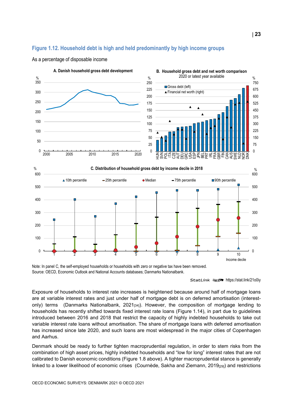#### <span id="page-22-0"></span>**Figure 1.12. Household debt is high and held predominantly by high income groups**



As a percentage of disposable income

Note: In panel C, the self-employed households or households with zero or negative tax have been removed. Source: OECD, Economic Outlook and National Accounts databases; Danmarks Nationalbank.

Exposure of households to interest rate increases is heightened because around half of mortgage loans are at variable interest rates and just under half of mortgage debt is on deferred amortisation (interestonly) terms (Danmarks Nationalbank, 2021 $_{[34]}$ ). However, the composition of mortgage lending to households has recently shifted towards fixed interest rate loans [\(Figure](#page-24-1) 1.14), in part due to guidelines introduced between 2016 and 2018 that restrict the capacity of highly indebted households to take out variable interest rate loans without amortisation. The share of mortgage loans with deferred amortisation has increased since late 2020, and such loans are most widespread in the major cities of Copenhagen and Aarhus.

Denmark should be ready to further tighten macroprudential regulation, in order to stem risks from the combination of high asset prices, highly indebted households and "low for long" interest rates that are not calibrated to Danish economic conditions [\(Figure](#page-18-0) 1.8 above). A tighter macroprudential stance is generally linked to a lower likelihood of economic crises (Cournède, Sakha and Ziemann, 2019<sub>[29]</sub>) and restrictions

StatLink **anset** <https://stat.link/21o0iy>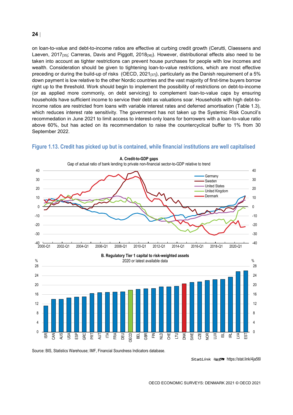on loan-to-value and debt-to-income ratios are effective at curbing credit growth (Cerutti, Claessens and Laeven, 2017<sub>[35]</sub>; Carreras, Davis and Piggott, 2018<sub>[36]</sub>). However, distributional effects also need to be taken into account as tighter restrictions can prevent house purchases for people with low incomes and wealth. Consideration should be given to tightening loan-to-value restrictions, which are most effective preceding or during the build-up of risks (OECD, 2021 $_{[37]}$ ), particularly as the Danish requirement of a 5% down payment is low relative to the other Nordic countries and the vast majority of first-time buyers borrow right up to the threshold. Work should begin to implement the possibility of restrictions on debt-to-income (or as applied more commonly, on debt servicing) to complement loan-to-value caps by ensuring households have sufficient income to service their debt as valuations soar. Households with high debt-toincome ratios are restricted from loans with variable interest rates and deferred amortisation [\(Table](#page-24-0) 1.3), which reduces interest rate sensitivity. The government has not taken up the Systemic Risk Council's recommedation in June 2021 to limit access to interest-only loans for borrowers with a loan-to-value ratio above 60%, but has acted on its recommendation to raise the countercyclical buffer to 1% from 30 September 2022.



#### <span id="page-23-0"></span>**Figure 1.13. Credit has picked up but is contained, while financial institutions are well capitalised**

Source: BIS, Statistics Warehouse; IMF, Financial Soundness Indicators database.

StatLink **2018** <https://stat.link/4ja56l>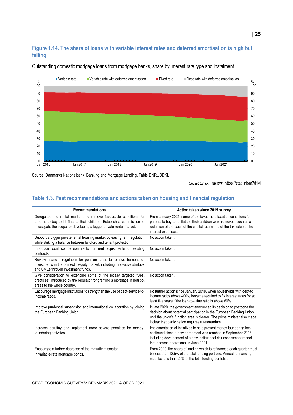#### <span id="page-24-1"></span>**Figure 1.14. The share of loans with variable interest rates and deferred amortisation is high but falling**



Outstanding domestic mortgage loans from mortgage banks, share by interest rate type and instalment

Source: Danmarks Nationalbank, Banking and Mortgage Lending, Table DNRUDDKI.

StatLink **anset** <https://stat.link/m7d1vl>

#### <span id="page-24-0"></span>**Table 1.3. Past recommendations and actions taken on housing and financial regulation**

| <b>Recommendations</b>                                                                                                                                                                                                | Action taken since 2019 survey                                                                                                                                                                                                                                                |
|-----------------------------------------------------------------------------------------------------------------------------------------------------------------------------------------------------------------------|-------------------------------------------------------------------------------------------------------------------------------------------------------------------------------------------------------------------------------------------------------------------------------|
| Deregulate the rental market and remove favourable conditions for<br>parents to buy-to-let flats to their children. Establish a commission to<br>investigate the scope for developing a bigger private rental market. | From January 2021, some of the favourable taxation conditions for<br>parents to buy-to-let flats to their children were removed, such as a<br>reduction of the basis of the capital return and of the tax value of the<br>interest expenses.                                  |
| Support a bigger private rental housing market by easing rent regulation<br>while striking a balance between landlord and tenant protection.                                                                          | No action taken.                                                                                                                                                                                                                                                              |
| Introduce local comparison rents for rent adjustments of existing<br>contracts.                                                                                                                                       | No action taken.                                                                                                                                                                                                                                                              |
| Review financial regulation for pension funds to remove barriers for<br>investments in the domestic equity market, including innovative startups<br>and SMEs through investment funds.                                | No action taken.                                                                                                                                                                                                                                                              |
| Give consideration to extending some of the locally targeted "Best"<br>practices" introduced by the regulator for granting a mortgage in hotspot<br>areas to the whole country.                                       | No action taken.                                                                                                                                                                                                                                                              |
| Encourage mortgage institutions to strengthen the use of debt-service-to-<br>income ratios.                                                                                                                           | No further action since January 2018, when households with debt-to<br>income ratios above 400% became required to fix interest rates for at<br>least five years if the loan-to-value ratio is above 60%.                                                                      |
| Improve prudential supervision and international collaboration by joining<br>the European Banking Union.                                                                                                              | In late 2020, the government announced its decision to postpone the<br>decision about potential participation in the European Banking Union<br>until the union's function area is clearer. The prime minister also made<br>it clear that participation requires a referendum. |
| Increase scrutiny and implement more severe penalties for money-<br>laundering activities.                                                                                                                            | Implementation of initiatives to help prevent money-laundering has<br>continued since a new agreement was reached in September 2018,<br>including development of a new institutional risk assessment model<br>that became operational in June 2021.                           |
| Encourage a further decrease of the maturity mismatch<br>in variable-rate mortgage bonds.                                                                                                                             | From 2020, the share of lending which is refinanced each quarter must<br>be less than 12.5% of the total lending portfolio. Annual refinancing<br>must be less than 25% of the total lending portfolio.                                                                       |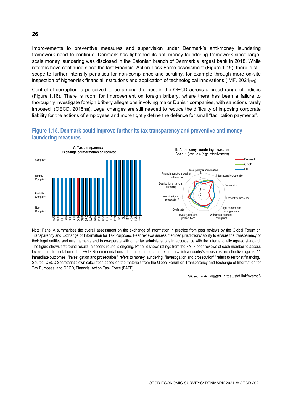Improvements to preventive measures and supervision under Denmark's anti-money laundering framework need to continue. Denmark has tightened its anti-money laundering framework since largescale money laundering was disclosed in the Estonian branch of Denmark's largest bank in 2018. While reforms have continued since the last Financial Action Task Force assessment [\(Figure](#page-25-0) 1.15), there is still scope to further intensify penalties for non-compliance and scrutiny, for example through more on-site inspection of higher-risk financial institutions and application of technological innovations (IMF,  $2021_{[12]}$ ).

Control of corruption is perceived to be among the best in the OECD across a broad range of indices [\(Figure](#page-26-0) 1.16). There is room for improvement on foreign bribery, where there has been a failure to thoroughly investigate foreign bribery allegations involving major Danish companies, with sanctions rarely imposed (OECD, 2015[38]). Legal changes are still needed to reduce the difficulty of imposing corporate liability for the actions of employees and more tightly define the defence for small "facilitation payments".



#### <span id="page-25-0"></span>**Figure 1.15. Denmark could improve further its tax transparency and preventive anti-money laundering measures**



Note: Panel A summarises the overall assessment on the exchange of information in practice from peer reviews by the Global Forum on Transparency and Exchange of Information for Tax Purposes. Peer reviews assess member jurisdictions' ability to ensure the transparency of their legal entities and arrangements and to co-operate with other tax administrations in accordance with the internationally agreed standard. The figure shows first round results; a second round is ongoing. Panel B shows ratings from the FATF peer reviews of each member to assess levels of implementation of the FATF Recommendations. The ratings reflect the extent to which a country's measures are effective against 11 immediate outcomes. "Investigation and prosecution<sup>1</sup>" refers to money laundering. "Investigation and prosecution<sup>2</sup>" refers to terrorist financing. Source: OECD Secretariat's own calculation based on the materials from the Global Forum on Transparency and Exchange of Information for Tax Purposes; and OECD, Financial Action Task Force (FATF).

StatLink **2018** <https://stat.link/nxemd8>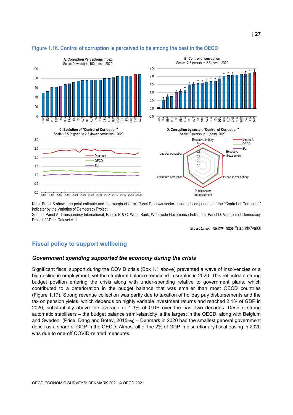

#### <span id="page-26-0"></span>**Figure 1.16. Control of corruption is perceived to be among the best in the OECD**

Note: Panel B shows the point estimate and the margin of error. Panel D shows sector-based subcomponents of the "Control of Corruption" indicator by the Varieties of Democracy Project.

Source: Panel A: Transparency International; Panels B & C: World Bank, Worldwide Governance Indicators; Panel D: Varieties of Democracy Project, V-Dem Dataset v11.

StatLink <sub>2003</sub> <https://stat.link/7va03i>

#### **Fiscal policy to support wellbeing**

#### *Government spending supported the economy during the crisis*

Significant fiscal support during the COVID crisis [\(Box](#page-12-0) 1.1 above) prevented a wave of insolvencies or a big decline in employment, yet the structural balance remained in surplus in 2020. This reflected a strong budget position entering the crisis along with under-spending relative to government plans, which contributed to a deterioration in the budget balance that was smaller than most OECD countries [\(Figure](#page-27-0) 1.17). Strong revenue collection was partly due to taxation of holiday pay disbursements and the tax on pension yields, which depends on highly variable investment returns and reached 2.1% of GDP in 2020, substantially above the average of 1.3% of GDP over the past two decades. Despite strong automatic stabilisers – the budget balance semi-elasticity is the largest in the OECD, along with Belgium and Sweden (Price, Dang and Botev, 2015<sub>[39]</sub>) – Denmark in 2020 had the smallest general government deficit as a share of GDP in the OECD. Almost all of the 2% of GDP in discretionary fiscal easing in 2020 was due to one-off COVID-related measures.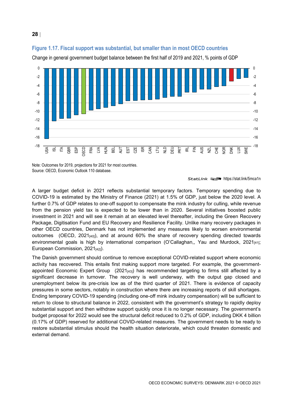

<span id="page-27-0"></span>**Figure 1.17. Fiscal support was substantial, but smaller than in most OECD countries**

Change in general government budget balance between the first half of 2019 and 2021, % points of GDP

Note: Outcomes for 2019, projections for 2021 for most countries. Source: OECD, Economic Outlook 110 database.

#### StatLink **anset** <https://stat.link/5mca1n>

A larger budget deficit in 2021 reflects substantial temporary factors. Temporary spending due to COVID-19 is estimated by the Ministry of Finance (2021) at 1.5% of GDP, just below the 2020 level. A further 0.7% of GDP relates to one-off support to compensate the mink industry for culling, while revenue from the pension yield tax is expected to be lower than in 2020. Several initiatives boosted public investment in 2021 and will see it remain at an elevated level thereafter, including the Green Recovery Package, Digitisation Fund and EU Recovery and Resilience Facility. Unlike many recovery packages in other OECD countries, Denmark has not implemented any measures likely to worsen environmental outcomes (OECD,  $2021_{[40]}$ ), and at around 60% the share of recovery spending directed towards environmental goals is high by international comparison (O'Callaghan,, Yau and Murdock,  $2021_{[41]}$ ; European Commission, 2021[42]).

The Danish government should continue to remove exceptional COVID-related support where economic activity has recovered. This entails first making support more targeted. For example, the governmentappointed Economic Expert Group  $(2021_{[43]})$  has recommended targeting to firms still affected by a significant decrease in turnover. The recovery is well underway, with the output gap closed and unemployment below its pre-crisis low as of the third quarter of 2021. There is evidence of capacity pressures in some sectors, notably in construction where there are increasing reports of skill shortages. Ending temporary COVID-19 spending (including one-off mink industry compensation) will be sufficient to return to close to structural balance in 2022, consistent with the government's strategy to rapidly deploy substantial support and then withdraw support quickly once it is no longer necessary. The government's budget proposal for 2022 would see the structural deficit reduced to 0.2% of GDP, including DKK 4 billion (0.17% of GDP) reserved for additional COVID-related measures. The government needs to be ready to restore substantial stimulus should the health situation deteriorate, which could threaten domestic and external demand.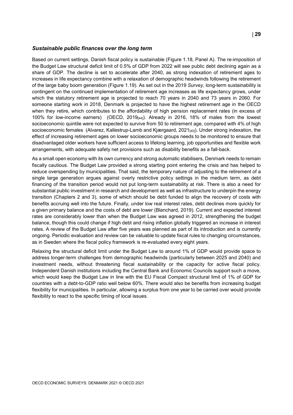#### *Sustainable public finances over the long term*

Based on current settings, Danish fiscal policy is sustainable [\(Figure](#page-29-0) 1.18, Panel A). The re-imposition of the Budget Law structural deficit limit of 0.5% of GDP from 2022 will see public debt declining again as a share of GDP. The decline is set to accelerate after 2040, as strong indexation of retirement ages to increases in life expectancy combine with a relaxation of demographic headwinds following the retirement of the large baby boom generation [\(Figure](#page-30-0) 1.19). As set out in the 2019 *Survey*, long-term sustainability is contingent on the continued implementation of retirement age increases as life expectancy grows, under which the statutory retirement age is projected to reach 70 years in 2040 and 73 years in 2060. For someone starting work in 2018, Denmark is projected to have the highest retirement age in the OECD when they retire, which contributes to the affordability of high pension replacement rates (in excess of 100% for low-income earners) (OECD, 2019[44]). Already in 2016, 18% of males from the lowest socioeconomic quintile were not expected to survive from 50 to retirement age, compared with 4% of high socioeconomic females (Alvarez, Kallestrup-Lamb and Kjærgaard, 2021<sub>[45]</sub>). Under strong indexation, the effect of increasing retirement ages on lower socioeconomic groups needs to be monitored to ensure that disadvantaged older workers have sufficient access to lifelong learning, job opportunities and flexible work arrangements, with adequate safety net provisions such as disability benefits as a fall-back.

As a small open economy with its own currency and strong automatic stabilisers, Denmark needs to remain fiscally cautious. The Budget Law provided a strong starting point entering the crisis and has helped to reduce overspending by municipalities. That said, the temporary nature of adjusting to the retirement of a single large generation argues against overly restrictive policy settings in the medium term, as debt financing of the transition period would not put long-term sustainability at risk. There is also a need for substantial public investment in research and development as well as infrastructure to underpin the energy transition (Chapters 2 and 3), some of which should be debt funded to align the recovery of costs with benefits accruing well into the future. Finally, under low real interest rates, debt declines more quickly for a given primary balance and the costs of debt are lower (Blanchard, 2019). Current and expected interest rates are considerably lower than when the Budget Law was agreed in 2012, strengthening the budget balance, though this could change if high debt and rising inflation globally triggered an increase in interest rates. A review of the Budget Law after five years was planned as part of its introduction and is currently ongoing. Periodic evaluation and review can be valuable to update fiscal rules to changing circumstances, as in Sweden where the fiscal policy framework is re-evaluated every eight years.

Relaxing the structural deficit limit under the Budget Law to around 1% of GDP would provide space to address longer-term challenges from demographic headwinds (particularly between 2025 and 2040) and investment needs, without threatening fiscal sustainability or the capacity for active fiscal policy. Independent Danish institutions including the Central Bank and Economic Councils support such a move, which would keep the Budget Law in line with the EU Fiscal Compact structural limit of 1% of GDP for countries with a debt-to-GDP ratio well below 60%. There would also be benefits from increasing budget flexibility for municipalities. In particular, allowing a surplus from one year to be carried over would provide flexibility to react to the specific timing of local issues.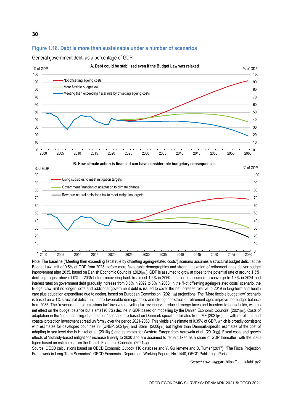#### <span id="page-29-0"></span>**Figure 1.18. Debt is more than sustainable under a number of scenarios**







Note: The baseline ("Meeting then exceeding fiscal rule by offsetting ageing-related costs") scenario assumes a structural budget deficit at the Budget Law limit of 0.5% of GDP from 2023, before more favourable demographics and strong indexation of retirement ages deliver budget improvement after 2035, based on Danish Economic Councils (2020<sub>[46]</sub>). GDP is assumed to grow at close to the potential rate of around 1.5%, declining to just above 1.0% in 2035 before recovering back to almost 1.5% in 2060. Inflation is assumed to converge to 1.8% in 2024 and interest rates on government debt gradually increase from 0.5% in 2022 to 3% in 2060. In the "Not offsetting ageing-related costs" scenario, the Budget Law limit no longer holds and additional government debt is issued to cover the net increase relative to 2019 in long-term and health care plus education expenditure due to ageing, based on European Commission  $(2021_{[47]})$  projections. The "More flexible budget law" scenario is based on a 1% structural deficit until more favourable demographics and strong indexation of retirement ages improve the budget balance from 2035. The "revenue-neutral emissions tax" involves recycling tax revenue via reduced energy taxes and transfers to households, with no net effect on the budget balance but a small (0.3%) decline in GDP based on modelling by the Danish Economic Councils (2021<sub>[48]</sub>). Costs of adaptation in the "debt financing of adaptation" scenario are based on Denmark-specific estimates from IMF (2021<sub>[12]</sub>) but with retrofitting and coastal protection investment spread uniformly over the period 2021-2060. This yields an estimate of 0.35% of GDP, which is broadly consistent with estimates for developed countries in (UNEP, 2021<sub>[49]</sub>) and Stern (2006<sub>[50]</sub>) but higher than Denmark-specific estimates of the cost of adapting to sea level rise in Hinkel et al (2010[51]) and estimates for Western Europe from Agrawala et al (2010[52]). Fiscal costs and growth effects of "subsidy-based mitigation" increase linearly to 2030 and are assumed to remain fixed as a share of GDP thereafter, with the 2030 figure based on estimates from the Danish Economic Councils (2021<sub>[48]</sub>).

Source: OECD calculations based on OECD Economic Outlook 110 database and Y. Guillemette and D. Turner (2017), "The Fiscal Projection Framework in Long-Term Scenarios", OECD Economics Department Working Papers, No. 1440, OECD Publishing, Paris.

StatLink **anset** <https://stat.link/hi1py2>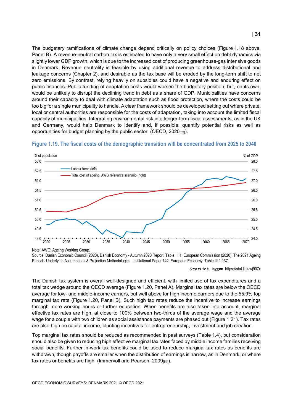The budgetary ramifications of climate change depend critically on policy choices [\(Figure](#page-29-0) 1.18 above, Panel B). A revenue-neutral carbon tax is estimated to have only a very small effect on debt dynamics via slightly lower GDP growth, which is due to the increased cost of producing greenhouse-gas intensive goods in Denmark. Revenue neutrality is feasible by using additional revenue to address distributional and leakage concerns (Chapter 2), and desirable as the tax base will be eroded by the long-term shift to net zero emissions. By contrast, relying heavily on subsidies could have a negative and enduring effect on public finances. Public funding of adaptation costs would worsen the budgetary position, but, on its own, would be unlikely to disrupt the declining trend in debt as a share of GDP. Municipalities have concerns around their capacity to deal with climate adaptation such as flood protection, where the costs could be too big for a single municipality to handle. A clear framework should be developed setting out where private, local or central authorities are responsible for the costs of adaptation, taking into account the limited fiscal capacity of municipalities. Integrating environmental risk into longer-term fiscal assessments, as in the UK and Germany, would help Denmark to identify and, if possible, quantify potential risks as well as opportunities for budget planning by the public sector (OECD, 2020[53]).



#### <span id="page-30-0"></span>**Figure 1.19. The fiscal costs of the demographic transition will be concentrated from 2025 to 2040**

The Danish tax system is overall well-designed and efficient, with limited use of tax expenditures and a total tax wedge around the OECD average [\(Figure](#page-31-0) 1.20, Panel A). Marginal tax rates are below the OECD average for low- and middle-income earners, but well above for high income earners due to the 55.9% top marginal tax rate [\(Figure](#page-31-0) 1.20, Panel B). Such high tax rates reduce the incentive to increase earnings through more working hours or further education. When benefits are also taken into account, marginal effective tax rates are high, at close to 100% between two-thirds of the average wage and the average wage for a couple with two children as social assistance payments are phased out [\(Figure](#page-32-0) 1.21). Tax rates are also high on capital income, blunting incentives for entrepreneurship, investment and job creation.

Top marginal tax rates should be reduced as recommended in past surveys [\(Table](#page-32-1) 1.4), but consideration should also be given to reducing high effective marginal tax rates faced by middle income families receiving social benefits. Further in-work tax benefits could be used to reduce marginal tax rates as benefits are withdrawn, though payoffs are smaller when the distribution of earnings is narrow, as in Denmark, or where tax rates or benefits are high (Immervoll and Pearson, 2009[54]).

Note: AWG: Ageing Working Group. Source: Danish Economic Council (2020), Danish Economy - Autumn 2020 Report, Table III.1; European Commission (2020), The 2021 Ageing Report - Underlying Assumptions & Projection Methodologies, Institutional Paper 142, European Economy, Table III.1.137.

StatLink <sub>200</sub>5 <https://stat.link/wj907x>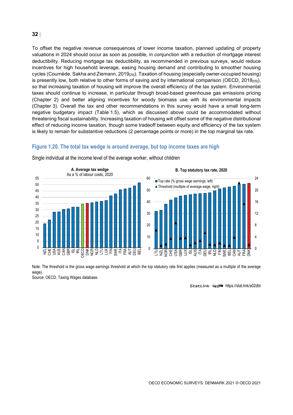To offset the negative revenue consequences of lower income taxation, planned updating of property valuations in 2024 should occur as soon as possible, in conjunction with a reduction of mortgage interest deductibility. Reducing mortgage tax deductibility, as recommended in previous surveys, would reduce incentives for high household leverage, easing housing demand and contributing to smoother housing cycles (Cournède, Sakha and Ziemann, 2019<sub>[29]</sub>). Taxation of housing (especially owner-occupied housing) is presently low, both relative to other forms of saving and by international comparison (OECD, 2018<sub>[55]</sub>), so that increasing taxation of housing will improve the overall efficiency of the tax system. Environmental taxes should continue to increase, in particular through broad-based greenhouse gas emissions pricing (Chapter 2) and better aligning incentives for woody biomass use with its environmental impacts (Chapter 3). Overall the tax and other recommendations in this survey would have a small long-term negative budgetary impact [\(Table](#page-33-0) 1.5), which as discussed above could be accommodated without threatening fiscal sustainability. Increasing taxation of housing will offset some of the negative distributional effect of reducing income taxation, though some tradeoff between equity and efficiency of the tax system is likely to remain for substantive reductions (2 percentage points or more) in the top marginal tax rate.

#### <span id="page-31-0"></span>**Figure 1.20. The total tax wedge is around average, but top income taxes are high**



Single individual at the income level of the average worker, without children



Note: The threshold is the gross wage earnings threshold at which the top statutory rate first applies (measured as a multiple of the average wage).

Source: OECD, Taxing Wages database.

StatLink **anset** <https://stat.link/a02dbt>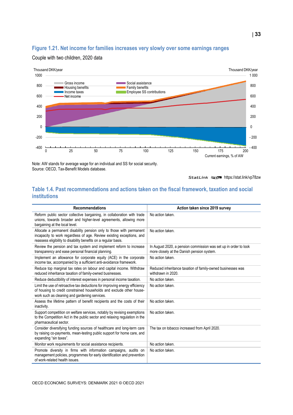#### <span id="page-32-0"></span>**Figure 1.21. Net income for families increases very slowly over some earnings ranges**



#### Couple with two children, 2020 data

Note: AW stands for average wage for an individual and SS for social security. Source: OECD, Tax-Benefit Models database.

StatLink **2018** <https://stat.link/vp78zw>

#### <span id="page-32-1"></span>**Table 1.4. Past recommendations and actions taken on the fiscal framework, taxation and social institutions**

| <b>Recommendations</b>                                                                                                                                                                                           | Action taken since 2019 survey                                                                                 |
|------------------------------------------------------------------------------------------------------------------------------------------------------------------------------------------------------------------|----------------------------------------------------------------------------------------------------------------|
| Reform public sector collective bargaining, in collaboration with trade<br>unions, towards broader and higher-level agreements, allowing more<br>bargaining at the local level.                                  | No action taken.                                                                                               |
| Allocate a permanent disability pension only to those with permanent<br>incapacity to work regardless of age. Review existing exceptions, and<br>reassess eligibility to disability benefits on a regular basis. | No action taken.                                                                                               |
| Review the pension and tax system and implement reform to increase<br>transparency and ease personal financial planning.                                                                                         | In August 2020, a pension commission was set up in order to look<br>more closely at the Danish pension system. |
| Implement an allowance for corporate equity (ACE) in the corporate<br>income tax, accompanied by a sufficient anti-avoidance framework.                                                                          | No action taken.                                                                                               |
| Reduce top marginal tax rates on labour and capital income. Withdraw<br>reduced inheritance taxation of family-owned businesses.                                                                                 | Reduced inheritance taxation of family-owned businesses was<br>withdrawn in 2020.                              |
| Reduce deductibility of interest expenses in personal income taxation.                                                                                                                                           | No action taken.                                                                                               |
| Limit the use of retroactive tax deductions for improving energy efficiency<br>of housing to credit constrained households and exclude other house-<br>work such as cleaning and gardening services.             | No action taken.                                                                                               |
| Assess the lifetime pattern of benefit recipients and the costs of their<br>inactivity.                                                                                                                          | No action taken.                                                                                               |
| Support competition on welfare services, notably by revising exemptions<br>to the Competition Act in the public sector and relaxing regulation in the<br>pharmaceutical sector.                                  | No action taken.                                                                                               |
| Consider diversifying funding sources of healthcare and long-term care<br>by raising co-payments, mean-testing public support for home care, and<br>expanding "sin taxes".                                       | The tax on tobacco increased from April 2020.                                                                  |
| Monitor work requirements for social assistance recipients.                                                                                                                                                      | No action taken.                                                                                               |
| Promote diversity in firms with information campaigns, audits on<br>management policies, programmes for early identification and prevention<br>of work-related health issues.                                    | No action taken.                                                                                               |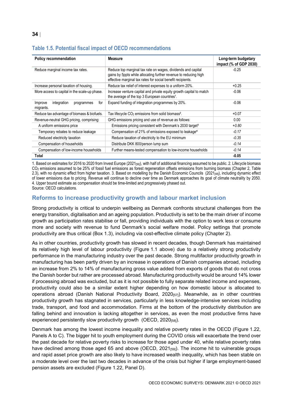| Table 1.J. Putential fiscal impact of OEGD recommendations |                                                                                                                                                                                                 |                                               |  |  |  |
|------------------------------------------------------------|-------------------------------------------------------------------------------------------------------------------------------------------------------------------------------------------------|-----------------------------------------------|--|--|--|
| <b>Policy recommendation</b>                               | <b>Measure</b>                                                                                                                                                                                  | Long-term budgetary<br>impact (% of GDP 2030) |  |  |  |
| Reduce marginal income tax rates.                          | Reduce top marginal tax rate on wages, dividends and capital<br>gains by 5ppts while allocating further revenue to reducing high<br>effective marginal tax rates for social benefit recipients. | $-0.25$                                       |  |  |  |
| Increase personal taxation of housing.                     | Reduce tax relief of interest expenses to a uniform 20%.                                                                                                                                        | $+0.25$                                       |  |  |  |
| More access to capital in the scale-up phase.              | Increase venture capital and private equity growth capital to match<br>the average of the top 3 European countries <sup>1</sup> .                                                               | $-0.06$                                       |  |  |  |
| for<br>integration<br>Improve<br>programmes<br>migrants.   | Expand funding of integration programmes by 20%.                                                                                                                                                | $-0.06$                                       |  |  |  |

Reduce tax advantage of biomass & biofuels. Tax lifecycle  $CO<sub>2</sub>$  emissions from solid biomass<sup>2</sup>.  $+0.07$ Revenue-neutral GHG pricing, comprising: GHG emissions pricing and use of revenue as follows: 0.00 A uniform emissions price **Emissions pricing consistent with Denmark's 2030 target<sup>3</sup> +0.80** + 0.80 Temporary rebates to reduce leakage Compensation of 21% of emissions exposed to leakage<sup>4</sup> -0.17 Reduced electricity taxation **Reduce taxation of electricity to the EU** minimum **Reduced electricity taxation**  $-0.35$  Compensation of households Distribute DKK 800/person lump sum *-0.14* Compensation of low-income households Further means-tested compensation to low-income households *-0.14* **Total -0.05**

#### <span id="page-33-0"></span>**Table 1.5. Potential fiscal impact of OECD recommendations**

1. Based on estimates for 2016 to 2020 from Invest Europe (2021<sub>[56]</sub>), with half of additional financing assumed to be public. 2. Lifecycle biomass CO2 emissions assumed to be 25% of fossil fuel emissions as forest regeneration offsets emissions from burning biomass (Chapter 2, Table 2.3), with no dynamic effect from higher taxation. 3. Based on modelling by the Danish Economic Councils ( $2021_{[48]}$ ), including dynamic effect of lower emissions due to pricing. Revenue will continue to decline over time as Denmark approaches its goal of climate neutrality by 2050. 4. Upper bound estimate as compensation should be time-limited and progressively phased out.

Source: OECD calculations.

#### **Reforms to increase productivity growth and labour market inclusion**

Strong productivity is critical to underpin wellbeing as Denmark confronts structural challenges from the energy transition, digitalisation and an ageing population. Productivity is set to be the main driver of income growth as participation rates stabilise or fall, providing individuals with the option to work less or consume more and society with revenue to fund Denmark's social welfare model. Policy settings that promote productivity are thus critical [\(Box](#page-35-0) 1.3), including via cost-effective climate policy (Chapter 2).

As in other countries, productivity growth has slowed in recent decades, though Denmark has maintained its relatively high level of labour productivity [\(Figure](#page-8-0) 1.1 above) due to a relatively strong productivity performance in the manufacturing industry over the past decade. Strong multifactor productivity growth in manufacturing has been partly driven by an increase in operations of Danish companies abroad, including an increase from 2% to 14% of manufacturing gross value added from exports of goods that do not cross the Danish border but rather are processed abroad. Manufacturing productivity would be around 14% lower if processing abroad was excluded, but as it is not possible to fully separate related income and expenses, productivity could also be a similar extent higher depending on how domestic labour is allocated to operations abroad (Danish National Productivity Board,  $2020_{[57]}$ ). Meanwhile, as in other countries productivity growth has stagnated in services, particularly in less knowledge-intensive services including trade, transport, and food and accommodation. Firms at the bottom of the productivity distribution are falling behind and innovation is lacking altogether in services, as even the most productive firms have experienced persistently slow productivity growth (OECD, 2020[58]).

Denmark has among the lowest income inequality and relative poverty rates in the OECD [\(Figure](#page-34-0) 1.22, Panels A to C). The bigger hit to youth employment during the COVID crisis will exacerbate the trend over the past decade for relative poverty risks to increase for those aged under 40, while relative poverty rates have declined among those aged 65 and above (OECD, 2021<sub>[59]</sub>). The income hit to vulnerable groups and rapid asset price growth are also likely to have increased wealth inequality, which has been stable on a moderate level over the last two decades in advance of the crisis but higher if large employment-based pension assets are excluded [\(Figure](#page-34-0) 1.22, Panel D).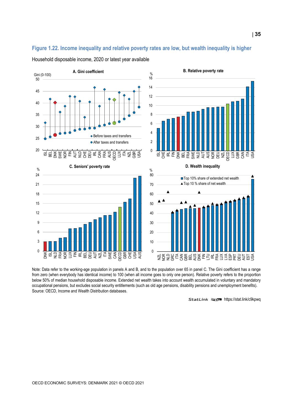#### <span id="page-34-0"></span>**Figure 1.22. Income inequality and relative poverty rates are low, but wealth inequality is higher**

Household disposable income, 2020 or latest year available



Note: Data refer to the working-age population in panels A and B, and to the population over 65 in panel C. The Gini coefficient has a range from zero (when everybody has identical income) to 100 (when all income goes to only one person). Relative poverty refers to the proportion below 50% of median household disposable income. Extended net wealth takes into account wealth accumulated in voluntary and mandatory occupational pensions, but excludes social security entitlements (such as old age pensions, disability pensions and unemployment benefits). Source: OECD, Income and Wealth Distribution databases.

StatLink **2012** <https://stat.link/c9kpwq>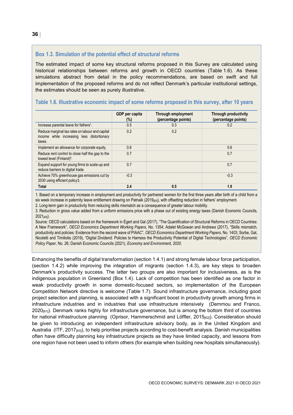#### <span id="page-35-0"></span>**Box 1.3. Simulation of the potential effect of structural reforms**

The estimated impact of some key structural reforms proposed in this Survey are calculated using historical relationships between reforms and growth in OECD countries [\(Table](#page-35-1) 1.6). As these simulations abstract from detail in the policy recommendations, are based on swift and full implementation of the proposed reforms and do not reflect Denmark's particular institutional settings, the estimates should be seen as purely illustrative.

<span id="page-35-1"></span>

|  |  | Table 1.6. Illustrative economic impact of some reforms proposed in this survey, after 10 years |  |  |  |  |  |
|--|--|-------------------------------------------------------------------------------------------------|--|--|--|--|--|
|--|--|-------------------------------------------------------------------------------------------------|--|--|--|--|--|

|                                                                                                         | GDP per capita<br>$(\%)$ | Through employment<br>(percentage points) | <b>Through productivity</b><br>(percentage points) |
|---------------------------------------------------------------------------------------------------------|--------------------------|-------------------------------------------|----------------------------------------------------|
| Increase parental leave for fathers <sup>1</sup> .                                                      | 0.5                      | 0.3                                       | 0.2                                                |
| Reduce marginal tax rates on labour and capital<br>income while increasing less distortionary<br>taxes. | 0.2                      | 0.2                                       |                                                    |
| Implement an allowance for corporate equity.                                                            | 0.6                      |                                           | 0.6                                                |
| Reduce rent control to close half the gap to the<br>lowest level (Finland) <sup>2</sup> .               | 0.7                      |                                           | 0.7                                                |
| Expand support for young firms to scale-up and<br>reduce barriers to digital trade.                     | 0.7                      |                                           | 0.7                                                |
| Achieve 70% greenhouse gas emissions cut by<br>2030 using efficient policy3.                            | $-0.3$                   |                                           | $-0.3$                                             |
| <b>Total</b>                                                                                            | 2.4                      | 0.5                                       | 1.9                                                |

1. Based on a temporary increase in employment and productivity for partnered women for the first three years after birth of a child from a six week increase in paternity leave entitlement drawing on Patnaik (2019<sub>[60]</sub>), with offsetting reduction in fathers' employment.

2. Long-term gain in productivity from reducing skills mismatch as a consequence of greater labour mobility.

3. Reduction in gross value added from a uniform emissions price with a phase out of existing energy taxes (Danish Economic Councils, 2021[48]).

Source: OECD calculations based on the framework in Égert and Gal (2017), "The Quantification of Structural Reforms in OECD Countries: A New Framework", *OECD Economics Department Working Papers*, No. 1354; Adalet McGowan and Andrews (2017), "Skills mismatch, productivity and policies: Evidence from the second wave of PIAAC", *OECD Economics Department Working Papers*, No. 1403; Sorbe, Gal, Nicoletti and Timiliotis (2019), "Digital Dividend: Policies to Harness the Productivity Potential of Digital Technologies", *OECD Economic Policy Paper*, No. 26; Danish Economic Councils (2021), *Economy and Environment, 2020*.

Enhancing the benefits of digital transformation (section 1.4.1) and strong female labour force participation, (section 1.4.2) while improving the integration of migrants (section 1.4.3), are key steps to broaden Denmark's productivity success. The latter two groups are also important for inclusiveness, as is the indigenous population in Greenland [\(Box](#page-36-0) 1.4). Lack of competition has been identified as one factor in weak productivity growth in some domestic-focused sectors, so implementation of the European Competition Network directive is welcome [\(Table](#page-43-0) 1.7). Sound infrastructure governance, including good project selection and planning, is associated with a significant boost in productivity growth among firms in infrastructure industries and in industries that use infrastructure intensively (Demmou and Franco,  $2020_{[61]}$ ). Denmark ranks highly for infrastructure governance, but is among the bottom third of countries for national infrastructure planning (Oprisor, Hammerschmid and Löffler, 2015<sub>[62]</sub>). Consideration should be given to introducing an independent infrastructure advisory body, as in the United Kingdom and Australia (ITF, 2017[63]), to help prioritise projects according to cost-benefit analysis. Danish municipalities often have difficulty planning key infrastructure projects as they have limited capacity, and lessons from one region have not been used to inform others (for example when building new hospitals simultaneously).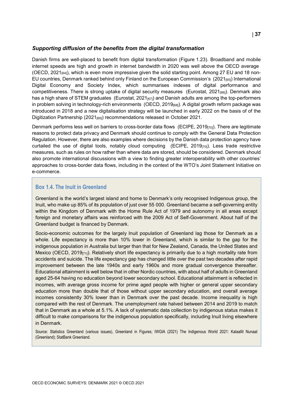#### *Supporting diffusion of the benefits from the digital transformation*

Danish firms are well-placed to benefit from digital transformation [\(Figure](#page-37-0) 1.23). Broadband and mobile internet speeds are high and growth in internet bandwidth in 2020 was well above the OECD average (OECD, 2021<sub>[64]</sub>), which is even more impressive given the solid starting point. Among 27 EU and 18 non-EU countries, Denmark ranked behind only Finland on the European Commission's (2021<sub>[65]</sub>) International Digital Economy and Society Index, which summarises indexes of digital performance and competitiveness. There is strong uptake of digital security measures (Eurostat, 2021<sub>[66]</sub>). Denmark also has a high share of STEM graduates (Eurostat,  $2021_{[67]}$ ) and Danish adults are among the top-performers in problem solving in technology-rich environments (OECD, 2019<sub>[68]</sub>). A digital growth reform package was introduced in 2018 and a new digitalisation strategy will be launched in early 2022 on the basis of of the Digitization Partnership (2021<sub>[69]</sub>) recommendations released in October 2021.

Denmark performs less well on barriers to cross-border data flows (ECIPE, 2019<sub>[70]</sub>). There are legitimate reasons to protect data privacy and Denmark should continue to comply with the General Data Protection Regulation. However, there are also examples where decisions by the Danish data protection agency have curtailed the use of digital tools, notably cloud computing (ECIPE,  $2019_{[70]}$ ). Less trade restrictive measures, such as rules on how rather than where data are stored, should be considered. Denmark should also promote international discussions with a view to finding greater interoperability with other countries' approaches to cross-border data flows, including in the context of the WTO's Joint Statement Initiative on e-commerce.

#### <span id="page-36-0"></span>**Box 1.4. The Inuit in Greenland**

Greenland is the world's largest island and home to Denmark's only recognised Indigenous group, the Inuit, who make up 85% of its population of just over 55 000. Greenland became a self-governing entity within the Kingdom of Denmark with the Home Rule Act of 1979 and autonomy in all areas except foreign and monetary affairs was reinforced with the 2009 Act of Self-Government. About half of the Greenland budget is financed by Denmark.

Socio-economic outcomes for the largely Inuit population of Greenland lag those for Denmark as a whole. Life expectancy is more than 10% lower in Greenland, which is similar to the gap for the indigenous population in Australia but larger than that for New Zealand, Canada, the United States and Mexico (OECD, 2019<sub>[71]</sub>). Relatively short life expectancy is primarily due to a high mortality rate from accidents and suicide. The life expectancy gap has changed little over the past two decades after rapid improvement between the late 1940s and early 1960s and more gradual convergence thereafter. Educational attainment is well below that in other Nordic countries, with about half of adults in Greenland aged 25-64 having no education beyond lower secondary school. Educational attainment is reflected in incomes, with average gross income for prime aged people with higher or general upper secondary education more than double that of those without upper secondary education, and overall average incomes consistently 30% lower than in Denmark over the past decade. Income inequality is high compared with the rest of Denmark. The unemployment rate halved between 2014 and 2019 to match that in Denmark as a whole at 5.1%. A lack of systematic data collection by indigenous status makes it difficult to make comparisons for the indigenous population specifically, including Inuit living elsewhere in Denmark.

Source: Statistics Greenland (various issues), Greenland in Figures; IWGIA (2021) The Indigenous World 2021: Kalaallit Nunaat (Greenland); StatBank Greenland.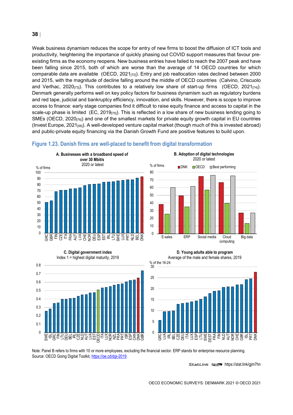Weak business dynamism reduces the scope for entry of new firms to boost the diffusion of ICT tools and productivity, heightening the importance of quickly phasing out COVID support measures that favour preexisting firms as the economy reopens. New business entries have failed to reach the 2007 peak and have been falling since 2015, both of which are worse than the average of 14 OECD countries for which comparable data are available (OECD,  $2021_{[72]}$ ). Entry and job reallocation rates declined between 2000 and 2015, with the magnitude of decline falling around the middle of OECD countries (Calvino, Criscuolo and Verlhac, 2020 $_{[73]}$ ). This contributes to a relatively low share of start-up firms (OECD, 2021 $_{[74]}$ ). Denmark generally performs well on key policy factors for business dynamism such as regulatory burdens and red tape, judicial and bankruptcy efficiency, innovation, and skills. However, there is scope to improve access to finance: early stage companies find it difficult to raise equity finance and access to capital in the scale-up phase is limited (EC, 2019 $_{[75]}$ ). This is reflected in a low share of new business lending going to SMEs (OECD, 2020 $_{[76]}$ ) and one of the smallest markets for private equity growth capital in EU countries (Invest Europe, 2021[56]). A well-developed venture capital market (though much of this is invested abroad) and public-private equity financing via the Danish Growth Fund are positive features to build upon.

### <span id="page-37-0"></span>**Figure 1.23. Danish firms are well-placed to benefit from digital transformation**





Index 1 = highest digital maturity, 2019

**C. Digital government index**

 $\Omega$ 0.1 0.2 0.3 0.4 0.5 0.6 0.7 0.8

> SWE <u>ದ</u> GRC Z<br>II 2<br>E DEU  $\Xi$  $\vec{\mathbf{r}}$ 55<br>25 n<br>N AUT  $\leq$ EST OECD  $\tilde{\Xi}$ LUX

**D. Young adults able to program**





Note: Panel B refers to firms with 10 or more employees, excluding the financial sector. ERP stands for enterprise resource planning. Source: OECD Going Digital Toolkit[, https://oe.cd/dgi-2019.](https://oe.cd/dgi-2019)

훈격또뚠굕딶옻몿엹

StatLink 2<https://stat.link/gjm7hn>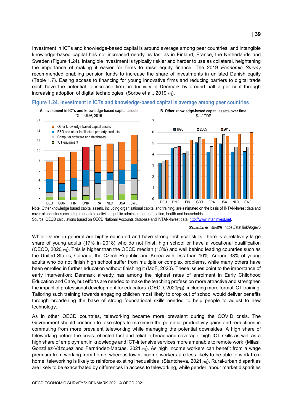Investment in ICTs and knowledge-based capital is around average among peer countries, and intangible knowledge-based capital has not increased nearly as fast as in Finland, France, the Netherlands and Sweden [\(Figure](#page-38-0) 1.24). Intangible investment is typically riskier and harder to use as collateral, heightening the importance of making it easier for firms to raise equity finance. The 2019 *Economic Survey* recommended enabling pension funds to increase the share of investments in unlisted Danish equity [\(Table](#page-43-0) 1.7). Easing access to financing for young innovative firms and reducing barriers to digital trade each have the potential to increase firm productivity in Denmark by around half a per cent through increasing adoption of digital technologies (Sorbe et al., 2019[77]).



<span id="page-38-0"></span>**Figure 1.24. Investment in ICTs and knowledge-based capital is average among peer countries**

Note: Other knowledge based capital assets, including organisational capital and training, are estimated on the basis of INTAN-Invest data and cover all industries excluding real estate activities, public administration, education, health and households. Source: OECD calculations based on OECD National Accounts database and INTAN-Invest data[, http://www.intaninvest.net.](http://www.intaninvest.net/)

StatLink **2018** <https://stat.link/9bgev6>

While Danes in general are highly educated and have strong technical skills, there is a relatively large share of young adults (17% in 2018) who do not finish high school or have a vocational qualification (OECD, 2020[19]). This is higher than the OECD median (13%) and well behind leading countries such as the United States, Canada, the Czech Republic and Korea with less than 10%. Around 38% of young adults who do not finish high school suffer from multiple or complex problems, while many others have been enrolled in further education without finishing it (MoF, 2020). These issues point to the importance of early intervention: Denmark already has among the highest rates of enrolment in Early Childhood Education and Care, but efforts are needed to make the teaching profession more attractive and strengthen the impact of professional development for educators (OECD, 2020<sub>[78]</sub>), including more formal ICT training. Tailoring such training towards engaging children most likely to drop out of school would deliver benefits through broadening the base of strong foundational skills needed to help people to adjust to new technology.

As in other OECD countries, teleworking became more prevalent during the COVID crisis. The Government should continue to take steps to maximise the potential productivity gains and reductions in commuting from more prevalent teleworking while managing the potential downsides. A high share of teleworking before the crisis reflected fast and reliable broadband coverage, high ICT skills as well as a high share of employment in knowledge and ICT-intensive services more amenable to remote work (Milasi, González-Vázquez and Fernández-Macías, 2021 $\pi$ <sub>9</sub>). As high income workers can benefit from a wage premium from working from home, whereas lower income workers are less likely to be able to work from home, teleworking is likely to reinforce existing inequalities (Stantcheva, 2021 $_{[80]}$ ). Rural-urban disparities are likely to be exacerbated by differences in access to teleworking, while gender labour market disparities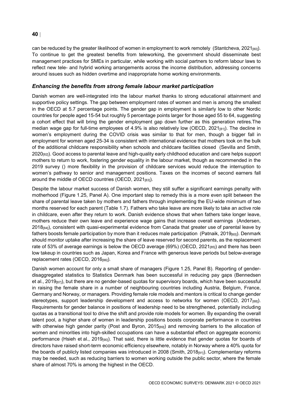can be reduced by the greater likelihood of women in employment to work remotely (Stantcheva, 2021<sub>[80]</sub>). To continue to get the greatest benefits from teleworking, the government should disseminate best management practices for SMEs in particular, while working with social partners to reform labour laws to reflect new tele- and hybrid working arrangements across the income distribution, addressing concerns around issues such as hidden overtime and inappropriate home working environments.

#### *Enhancing the benefits from strong female labour market participation*

Danish women are well-integrated into the labour market thanks to strong educational attainment and supportive policy settings. The gap between employment rates of women and men is among the smallest in the OECD at 5.7 percentage points. The gender gap in employment is similarly low to other Nordic countries for people aged 15-54 but roughly 5 percentage points larger for those aged 55 to 64, suggesting a cohort effect that will bring the gender employment gap down further as this generation retires.The median wage gap for full-time employees of 4.9% is also relatively low (OECD, 2021 $_{[81]}$ ). The decline in women's employment during the COVID crisis was similar to that for men, though a bigger fall in employment for women aged 25-34 is consistent with international evidence that mothers took on the bulk of the additional childcare responsibility when schools and childcare facilities closed (Sevilla and Smith, 2020<sub>[82]</sub>). Good access to parental leave and high-quality early childhood education and care helps support mothers to return to work, fostering gender equality in the labour market, though as recommended in the 2019 survey () more flexibility in the provision of childcare services would reduce the interruption to women's pathway to senior and management positions. Taxes on the incomes of second earners fall around the middle of OECD countries (OECD,  $2021_{[83]}$ ).

Despite the labour market success of Danish women, they still suffer a significant earnings penalty with motherhood [\(Figure](#page-40-0) 1.25, Panel A). One important step to remedy this is a more even split between the share of parental leave taken by mothers and fathers through implementing the EU-wide minimum of two months reserved for each parent [\(Table](#page-43-0) 1.7). Fathers who take leave are more likely to take an active role in childcare, even after they return to work. Danish evidence shows that when fathers take longer leave, mothers reduce their own leave and experience wage gains that increase overall earnings (Andersen, 2018<sub>[84]</sub>), consistent with quasi-experimental evidence from Canada that greater use of parental leave by fathers boosts female participation by more than it reduces male participation (Patnaik, 2019<sub>[60]</sub>). Denmark should monitor uptake after increasing the share of leave reserved for second parents, as the replacement rate of 53% of average earnings is below the OECD average (69%) (OECD, 2021 $_{185}$ ) and there has been low takeup in countries such as Japan, Korea and France with generous leave periods but below-average replacement rates (OECD, 2016[86]).

Danish women account for only a small share of managers [\(Figure](#page-40-0) 1.25, Panel B). Reporting of genderdisaggregated statistics to Statistics Denmark has been successful in reducing pay gaps (Bennedsen et al., 2019 $_{[87]}$ ), but there are no gender-based quotas for supervisory boards, which have been successful in raising the female share in a number of neighbouring countries including Austria, Belgium, France, Germany and Norway, or managers. Providing female role models and mentors is critical to change gender stereotypes, support leadership development and access to networks for women (OECD, 2017<sub>[88]</sub>). Requirements for gender balance in positions of leadership need to be strengthened, potentially including quotas as a transitional tool to drive the shift and provide role models for women. By expanding the overall talent pool, a higher share of women in leadership positions boosts corporate performance in countries with otherwise high gender parity (Post and Byron, 2015 $_{[89]}$ ) and removing barriers to the allocation of women and minorities into high-skilled occupations can have a substantial effect on aggregate economic performance (Hsieh et al., 2019<sub>[90]</sub>). That said, there is little evidence that gender quotas for boards of directors have raised short-term economic efficiency elsewhere, notably in Norway where a 40% quota for the boards of publicly listed companies was introduced in 2008 (Smith, 2018[91]). Complementary reforms may be needed, such as reducing barriers to women working outside the public sector, where the female share of almost 70% is among the highest in the OECD.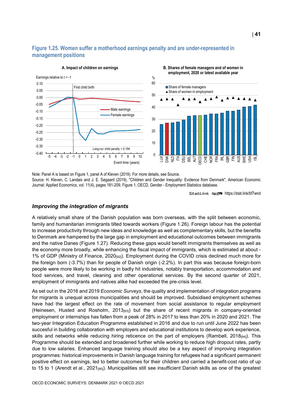#### <span id="page-40-0"></span>**Figure 1.25. Women suffer a motherhood earnings penalty and are under-represented in management positions**





**B. Shares of female managers and of women in** 

Note: Panel A is based on Figure 1, panel A of Kleven (2019). For more details, see Source. Source: H. Kleven, C. Landais and J. E. Søgaard (2019), "Children and Gender Inequality: Evidence from Denmark", American Economic Journal: Applied Economics, vol. 11(4), pages 181-209, Figure 1; OECD, Gender - Employment Statistics database.

StatLink **anset** <https://stat.link/bf7wnd>

#### *Improving the integration of migrants*

A relatively small share of the Danish population was born overseas, with the split between economic, family and humanitarian immigrants tilted towards workers [\(Figure](#page-41-0) 1.26). Foreign labour has the potential to increase productivity through new ideas and knowledge as well as complementary skills, but the benefits to Denmark are hampered by the large gap in employment and educational outcomes between immigrants and the native Danes [\(Figure](#page-42-0) 1.27). Reducing these gaps would benefit immigrants themselves as well as the economy more broadly, while enhancing the fiscal impact of immigrants, which is estimated at about - 1% of GDP (Ministry of Finance,  $2020_{[92]}$ ). Employment during the COVID crisis declined much more for the foreign born (-3.7%) than for people of Danish origin (-2.2%). In part this was because foreign-born people were more likely to be working in badly hit industries, notably transportation, accommodation and food services, and travel, cleaning and other operational services. By the second quarter of 2021, employment of immigrants and natives alike had exceeded the pre-crisis level.

As set out in the 2016 and 2019 *Economic Surveys*, the quality and implementation of integration programs for migrants is unequal across municipalities and should be improved. Subsidised employment schemes have had the largest effect on the rate of movement from social assistance to regular employment (Heinesen, Husted and Rosholm, 2013[93]) but the share of recent migrants in company-oriented employment or internships has fallen from a peak of 28% in 2017 to less than 20% in 2020 and 2021. The two-year Integration Education Programme established in 2016 and due to run until June 2022 has been succesful in building collaboration with employers and educational institutions to develop work experience, skills and networks while reducing hiring reticence on the part of employers (Rambøll, 2018<sub>[94]</sub>). This Programme should be extended and broadened further while working to reduce high dropout rates, partly due to low salaries. Enhanced language training should also be a key aspect of improving integration programmes: historical improvements in Danish language training for refugees had a significant permanent positive effect on earnings, led to better outcomes for their children and carried a benefit-cost ratio of up to 15 to 1 (Arendt et al., 2021<sub>[95]</sub>). Municipalities still see insufficient Danish skills as one of the greatest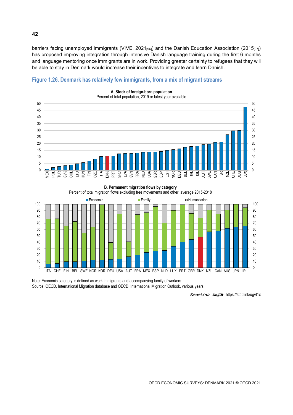barriers facing unemployed immigrants (VIVE, 2021<sub>[96]</sub>) and the Danish Education Association (2015<sub>[97]</sub>) has proposed improving integration through intensive Danish language training during the first 6 months and language mentoring once immigrants are in work. Providing greater certainty to refugees that they will be able to stay in Denmark would increase their incentives to integrate and learn Danish.



#### <span id="page-41-0"></span>**Figure 1.26. Denmark has relatively few immigrants, from a mix of migrant streams**

**B. Permanent migration flows by category**



Note: Economic category is defined as work immigrants and accompanying family of workers. Source: OECD, International Migration database and OECD, International Migration Outlook, various years.

StatLink **anset** <https://stat.link/ugvt1x>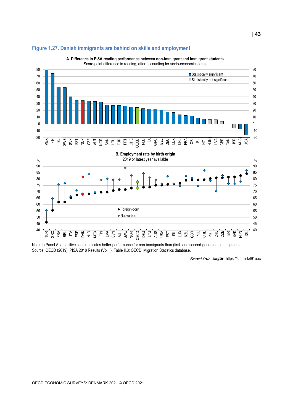

#### <span id="page-42-0"></span>**Figure 1.27. Danish immigrants are behind on skills and employment**

**A. Difference in PISA reading performance between non-immigrant and immigrant students** Score-point difference in reading, after accounting for socio-economic status

Note: In Panel A, a positive score indicates better performance for non-immigrants than (first- and second-generation) immigrants. Source: OECD (2019), PISA 2018 Results (Vol II), Table II.3; OECD, Migration Statistics database.

StatLink **2018** <https://stat.link/l91uoc>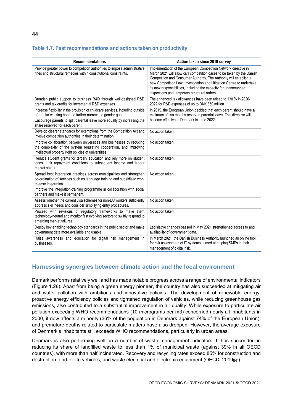#### <span id="page-43-0"></span>**Table 1.7. Past recommendations and actions taken on productivity**

| <b>Recommendations</b>                                                                                                                                                                                                                                                                  | Action taken since 2019 survey                                                                                                                                                                                                                                                                                                                                                                                |
|-----------------------------------------------------------------------------------------------------------------------------------------------------------------------------------------------------------------------------------------------------------------------------------------|---------------------------------------------------------------------------------------------------------------------------------------------------------------------------------------------------------------------------------------------------------------------------------------------------------------------------------------------------------------------------------------------------------------|
| Provide greater power to competition authorities to impose administrative<br>fines and structural remedies within constitutional constraints.                                                                                                                                           | Implementation of the European Competition Network directive in<br>March 2021 will allow civil competition cases to be taken by the Danish<br>Competition and Consumer Authority. The Authority will establish a<br>new Competition Law, Investigation and Litigation Centre to undertake<br>its new responsibilities, including the capacity for unannounced<br>inspections and temporary structural orders. |
| Broaden public support to business R&D through well-designed R&D<br>grants and tax credits for incremental R&D expenses.                                                                                                                                                                | The enhanced tax allowances have been raised to 130 % in 2020-<br>2022 for R&D expenses of up to DKK 850 million                                                                                                                                                                                                                                                                                              |
| Increase flexibility in the provision of childcare services, including outside<br>of regular working hours to further narrow the gender gap.<br>Encourage parents to split parental leave more equally by increasing the<br>share reserved for each parent.                             | In 2019, the European Union decided that each parent should have a<br>minimum of two months reserved parental leave. This directive will<br>become effective in Denmark in June 2022.                                                                                                                                                                                                                         |
| Develop clearer standards for exemptions from the Competition Act and<br>involve competition authorities in their determination.                                                                                                                                                        | No action taken.                                                                                                                                                                                                                                                                                                                                                                                              |
| Improve collaboration between universities and businesses by reducing<br>the complexity of the system regulating cooperation, and improving<br>intellectual property right policies of universities.                                                                                    | No action taken.                                                                                                                                                                                                                                                                                                                                                                                              |
| Reduce student grants for tertiary education and rely more on student<br>loans. Link repayment conditions to subsequent income and labour<br>market status.                                                                                                                             | No action taken.                                                                                                                                                                                                                                                                                                                                                                                              |
| Spread best integration practices across municipalities and strengthen<br>co-ordination of services such as language training and subsidised work<br>to ease integration.<br>Improve the integration-training programme in collaboration with social<br>partners and make it permanent. | No action taken.                                                                                                                                                                                                                                                                                                                                                                                              |
| Assess whether the current visa schemes for non-EU workers sufficiently<br>address skill needs and consider simplifying entry procedures.                                                                                                                                               | No action taken.                                                                                                                                                                                                                                                                                                                                                                                              |
| Proceed with revisions of regulatory frameworks to make them<br>technology-neutral and monitor fast evolving sectors to swiftly respond to<br>emerging market failures.                                                                                                                 | No action taken.                                                                                                                                                                                                                                                                                                                                                                                              |
| Deploy key enabling technology standards in the public sector and make<br>government data more available and usable.                                                                                                                                                                    | Legislative changes passed in May 2021 strengthened access to and<br>availability of government data.                                                                                                                                                                                                                                                                                                         |
| Raise awareness and education for digital risk management in<br>businesses.                                                                                                                                                                                                             | In March 2021, the Danish Business Authority launched an online tool<br>for risk assessment of IT systems, aimed at helping SMEs in their<br>management of digital risk.                                                                                                                                                                                                                                      |

#### **Harnessing synergies between climate action and the local environment**

Demark performs relatively well and has made notable progress across a range of environmental indicators [\(Figure](#page-44-0) 1.28). Apart from being a green energy pioneer, the country has also succeeded at mitigating air and water pollution with ambitious and innovative policies. The development of renewable energy, proactive energy efficiency policies and tightened regulation of vehicles, while reducing greenhouse gas emissions, also contributed to a substantial improvement in air quality. While exposure to particulate air pollution exceeding WHO recommendations (10 micrograms per m3) concerned nearly all inhabitants in 2000, it now affects a minority (36% of the population in Denmark against 74% of the European Union), and premature deaths related to particulate matters have also dropped. However, the average exposure of Denmark's inhabitants still exceeds WHO recommendations, particularly in urban areas.

Denmark is also performing well on a number of waste management indicators. It has succeeded in reducing its share of landfilled waste to less than 1% of municipal waste (against 39% in all OECD countries), with more than half incinerated. Recovery and recycling rates exceed 85% for construction and destruction, end-of-life vehicles, and waste electrical and electronic equipment (OECD, 2019[981]).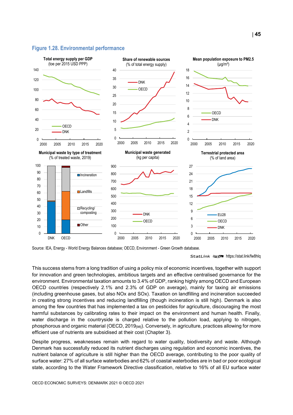#### <span id="page-44-0"></span>**Figure 1.28. Environmental performance**



Source: IEA, Energy - World Energy Balances database; OECD, Environment - Green Growth database.

This success stems from a long tradition of using a policy mix of economic incentives, together with support for innovation and green technologies, ambitious targets and an effective centralised governance for the environment. Environmental taxation amounts to 3.4% of GDP, ranking highly among OECD and European OECD countries (respectively 2.1% and 2.3% of GDP on average), mainly for taxing air emissions (including greenhouse gases, but also NOx and SOx). Taxation on landfilling and incineration succeeded in creating strong incentives and reducing landfilling (though incineration is still high). Denmark is also among the few countries that has implemented a tax on pesticides for agriculture, discouraging the most harmful substances by calibrating rates to their impact on the environment and human health. Finally, water discharge in the countryside is charged relative to the pollution load, applying to nitrogen, phosphorous and organic material (OECD, 2019<sub>[98]</sub>). Conversely, in agriculture, practices allowing for more efficient use of nutrients are subsidised at their cost (Chapter 3).

Despite progress, weaknesses remain with regard to water quality, biodiversity and waste. Although Denmark has successfully reduced its nutrient discharges using regulation and economic incentives, the nutrient balance of agriculture is still higher than the OECD average, contributing to the poor quality of surface water: 27% of all surface waterbodies and 62% of coastal waterbodies are in bad or poor ecological state, according to the Water Framework Directive classification, relative to 16% of all EU surface water

StatLink **2018** <https://stat.link/fw8hlq>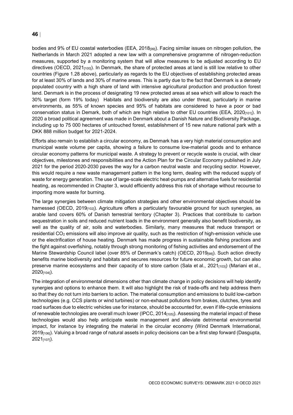bodies and 9% of EU coastal waterbodies (EEA, 2018<sub>[991</sub>). Facing similar issues on nitrogen pollution, the Netherlands in March 2021 adopted a new law with a comprehensive programme of nitrogen-reduction measures, supported by a monitoring system that will allow measures to be adjusted according to EU directives (OECD, 2021<sub>[100]</sub>). In Denmark, the share of protected areas at land is still low relative to other countries [\(Figure](#page-44-0) 1.28 above), particularly as regards to the EU objectives of establishing protected areas for at least 30% of lands and 30% of marine areas. This is partly due to the fact that Denmark is a densely populated country with a high share of land with intensive agricultural production and production forest land. Denmark is in the process of designating 19 new protected areas at sea which will allow to reach the 30% target (form 19% today) Habitats and biodiversity are also under threat, particularly in marine environments, as 55% of known species and 95% of habitats are considered to have a poor or bad conservation status in Demark, both of which are high relative to other EU countries (EEA, 2020<sub>[101]</sub>). In 2020 a broad political agreement was made in Denmark about a Danish Nature and Biodiversity Package, including up to 75 000 hectares of untouched forest, establishment of 15 new nature national park with a DKK 888 million budget for 2021-2024.

Efforts also remain to establish a circular economy, as Denmark has a very high material consumption and municipal waste volume per capita, showing a failure to consume low-material goods and to enhance circular economy patterns for municipal waste. A strategy to prevent or recycle waste is crucial, with clear objectives, milestones and responsibilities and the Action Plan for the Circular Economy published in July 2021 for the period 2020-2030 paves the way for a carbon neutral waste and recycling sector. However, this would require a new waste management pattern in the long term, dealing with the reduced supply of waste for energy generation. The use of large-scale electric heat-pumps and alternative fuels for residential heating, as recommended in Chapter 3, would efficiently address this risk of shortage without recourse to importing more waste for burning.

The large synergies between climate mitigation strategies and other environmental objectives should be harnessed (OECD, 2019<sub>[102]</sub>). Agriculture offers a particularly favourable ground for such synergies, as arable land covers 60% of Danish terrestrial territory (Chapter 3). Practices that contribute to carbon sequestration in soils and reduced nutrient loads in the environment generally also benefit biodiversity, as well as the quality of air, soils and waterbodies. Similarly, many measures that reduce transport or residential CO2 emissions will also improve air quality, such as the restriction of high-emission vehicle use or the electrification of house heating. Denmark has made progress in sustainable fishing practices and the fight against overfishing, notably through strong monitoring of fishing activities and endorsement of the Marine Stewardship Council label (over 85% of Denmark's catch) (OECD, 2019<sub>[98]</sub>). Such action directly benefits marine biodiversity and habitats and secures resources for future economic growth, but can also preserve marine ecosystems and their capacity of to store carbon (Sala et al., 2021<sub>[103]</sub>) (Mariani et al., 2020[104]).

The integration of environmental dimensions other than climate change in policy decisions will help identify synergies and options to enhance them. It will also highlight the risk of trade-offs and help address them so that they do not turn into barriers to action. The material consumption and emissions to build low-carbon technologies (e.g. CCS plants or wind turbines) or non-exhaust pollutions from brakes, clutches, tyres and road surfaces due to electric vehicles use for instance, should be accounted for, even if life-cycle emissions of renewable technologies are overall much lower (IPCC, 2014<sub>[105]</sub>). Assessing the material impact of these technologies would also help anticipate waste management and alleviate detrimental environmental impact, for instance by integrating the material in the circular economy (Wind Denmark International, 2019[106]). Valuing a broad range of natural assets in policy decisions can be a first step forward (Dasgupta, 2021[107]).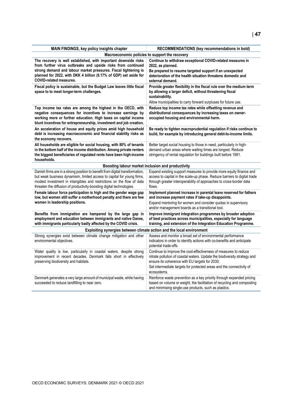| MAIN FINDINGS, key policy insights chapter                                                                                                              | RECOMMENDATIONS (key recommendations in bold)                                                                                                    |  |  |  |  |
|---------------------------------------------------------------------------------------------------------------------------------------------------------|--------------------------------------------------------------------------------------------------------------------------------------------------|--|--|--|--|
| Macroeconomic policies to support the recovery                                                                                                          |                                                                                                                                                  |  |  |  |  |
| The recovery is well established, with important downside risks<br>from further virus outbreaks and upside risks from continued                         | Continue to withdraw exceptional COVID-related measures in<br>2022, as planned.                                                                  |  |  |  |  |
| strong demand and labour market pressures. Fiscal tightening is                                                                                         | Be prepared to resume targeted support if an unexpected                                                                                          |  |  |  |  |
| planned for 2022, with DKK 4 billion (0.17% of GDP) set aside for                                                                                       | deterioration of the health situation threatens domestic and                                                                                     |  |  |  |  |
| <b>COVID-related measures.</b>                                                                                                                          | external demand.                                                                                                                                 |  |  |  |  |
| Fiscal policy is sustainable, but the Budget Law leaves little fiscal                                                                                   | Provide greater flexibility in the fiscal rule over the medium term                                                                              |  |  |  |  |
| space to to meet longer-term challenges.                                                                                                                | by allowing a larger deficit, without threatening fiscal                                                                                         |  |  |  |  |
|                                                                                                                                                         | sustainability.                                                                                                                                  |  |  |  |  |
|                                                                                                                                                         | Allow municipalities to carry forward surpluses for future use.                                                                                  |  |  |  |  |
| Top income tax rates are among the highest in the OECD, with                                                                                            | Reduce top income tax rates while offsetting revenue and                                                                                         |  |  |  |  |
| negative consequences for incentives to increase earnings by<br>working more or further education. High taxes on capital income                         | distributional consequences by increasing taxes on owner-                                                                                        |  |  |  |  |
| blunt incentives for entrepreneurship, investment and job creation.                                                                                     | occupied housing and environmental harm.                                                                                                         |  |  |  |  |
| An acceleration of house and equity prices amid high household                                                                                          | Be ready to tighten macroprudential regulation if risks continue to                                                                              |  |  |  |  |
| debt is increasing macroeconomic and financial stability risks as                                                                                       | build, for example by introducing general debt-to-income limits.                                                                                 |  |  |  |  |
| the economy recovers.                                                                                                                                   |                                                                                                                                                  |  |  |  |  |
| All households are eligible for social housing, with 80% of tenants                                                                                     | Better target social housing to those in need, particularly in high-                                                                             |  |  |  |  |
| in the bottom half of the income distribution. Among private renters                                                                                    | demand urban areas where waiting times are longest. Reduce                                                                                       |  |  |  |  |
| the biggest beneficiaries of regulated rents have been high-income                                                                                      | stringency of rental regulation for buildings built before 1991.                                                                                 |  |  |  |  |
| households.                                                                                                                                             |                                                                                                                                                  |  |  |  |  |
| Boosting labour market inclusion and productivity                                                                                                       |                                                                                                                                                  |  |  |  |  |
| Danish firms are in a strong position to benefit from digital transformation,<br>but weak business dynamism, limited access to capital for young firms, | Expand existing support measures to provide more equity finance and<br>access to capital in the scale-up phase. Reduce barriers to digital trade |  |  |  |  |
| modest investment in intangibles and restrictions on the flow of data                                                                                   | through greater interoperability of approaches to cross-border data                                                                              |  |  |  |  |
| threaten the diffusion of productivity-boosting digital technologies.                                                                                   | flows.                                                                                                                                           |  |  |  |  |
| Female labour force participation is high and the gender wage gap                                                                                       | Implement planned increase in parental leave reserved for fathers                                                                                |  |  |  |  |
| low, but women still suffer a motherhood penalty and there are few                                                                                      | and increase payment rates if take-up disappoints.                                                                                               |  |  |  |  |
| women in leadership positions.                                                                                                                          | Expand mentoring for women and consider quotas in supervisory                                                                                    |  |  |  |  |
|                                                                                                                                                         | and/or management boards as a transitional tool.                                                                                                 |  |  |  |  |
| Benefits from immigration are hampered by the large gap in                                                                                              | Improve immigrant integration programmes by broader adoption                                                                                     |  |  |  |  |
| employment and education between immigrants and native Danes,<br>with immigrants particularly badly affected by the COVID crisis.                       | of best practices across municipalities, especially for language<br>training, and extension of the Integration Education Programme.              |  |  |  |  |
| Exploiting synergies between climate action and the local environment                                                                                   |                                                                                                                                                  |  |  |  |  |
| Strong synergies exist between climate change mitigation and other                                                                                      | Assess and monitor a broad set of environmental performance                                                                                      |  |  |  |  |
| environmental objectives.                                                                                                                               | indicators in order to identify actions with co-benefits and anticipate                                                                          |  |  |  |  |
|                                                                                                                                                         | potential trade-offs.                                                                                                                            |  |  |  |  |
| Water quality is low, particularly in coastal waters, despite strong                                                                                    | Continue to improve the cost-effectiveness of measures to reduce                                                                                 |  |  |  |  |
| improvement in recent decades. Denmark falls short in effectively                                                                                       | nitrate pollution of coastal waters. Update the biodiversity strategy and                                                                        |  |  |  |  |
| preserving biodiversity and habitats.                                                                                                                   | ensure its coherence with EU targets for 2030;                                                                                                   |  |  |  |  |
|                                                                                                                                                         | Set intermediate targets for protected areas and the connectivity of                                                                             |  |  |  |  |
|                                                                                                                                                         | ecosystems.                                                                                                                                      |  |  |  |  |
| Denmark generates a very large amount of municipal waste, while having<br>succeeded to reduce landfilling to near zero.                                 | Reinforce waste prevention as a key priority through expanded pricing<br>based on volume or weight, the facilitation of recycling and composting |  |  |  |  |
|                                                                                                                                                         | and minimising single-use products, such as plastics.                                                                                            |  |  |  |  |
|                                                                                                                                                         |                                                                                                                                                  |  |  |  |  |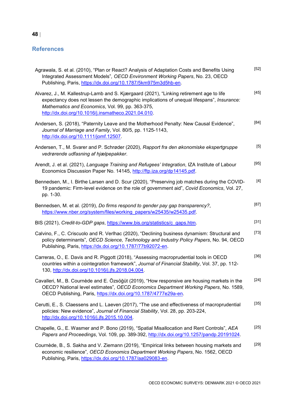#### **References**

| Agrawala, S. et al. (2010), "Plan or React? Analysis of Adaptation Costs and Benefits Using<br>Integrated Assessment Models", OECD Environment Working Papers, No. 23, OECD<br>Publishing, Paris, https://dx.doi.org/10.1787/5km975m3d5hb-en.                                                    | $[52]$ |
|--------------------------------------------------------------------------------------------------------------------------------------------------------------------------------------------------------------------------------------------------------------------------------------------------|--------|
| Alvarez, J., M. Kallestrup-Lamb and S. Kjærgaard (2021), "Linking retirement age to life<br>expectancy does not lessen the demographic implications of unequal lifespans", Insurance:<br>Mathematics and Economics, Vol. 99, pp. 363-375,<br>http://dx.doi.org/10.1016/j.insmatheco.2021.04.010. | $[45]$ |
| Andersen, S. (2018), "Paternity Leave and the Motherhood Penalty: New Causal Evidence",<br>Journal of Marriage and Family, Vol. 80/5, pp. 1125-1143,<br>http://dx.doi.org/10.1111/jomf.12507.                                                                                                    | $[84]$ |
| Andersen, T., M. Svarer and P. Schrøder (2020), Rapport fra den økonomiske ekspertgruppe<br>vedrørende udfasning af hjælpepakker.                                                                                                                                                                | $[5]$  |
| Arendt, J. et al. (2021), Language Training and Refugees' Integration, IZA Institute of Labour<br>Economics Discussion Paper No. 14145, http://ftp.iza.org/dp14145.pdf.                                                                                                                          | $[95]$ |
| Bennedsen, M., I. Birthe Larsen and D. Scur (2020), "Preserving job matches during the COVID-<br>19 pandemic: Firm-level evidence on the role of government aid", Covid Economics, Vol. 27,<br>pp. 1-30.                                                                                         | $[4]$  |
| Bennedsen, M. et al. (2019), Do firms respond to gender pay gap transparency?,<br>https://www.nber.org/system/files/working_papers/w25435/w25435.pdf.                                                                                                                                            | $[87]$ |
| BIS (2021), Credit-to-GDP gaps, https://www.bis.org/statistics/c_gaps.htm.                                                                                                                                                                                                                       | $[31]$ |
| Calvino, F., C. Criscuolo and R. Verlhac (2020), "Declining business dynamism: Structural and<br>policy determinants", OECD Science, Technology and Industry Policy Papers, No. 94, OECD<br>Publishing, Paris, https://dx.doi.org/10.1787/77b92072-en.                                           | $[73]$ |
| Carreras, O., E. Davis and R. Piggott (2018), "Assessing macroprudential tools in OECD<br>countries within a cointegration framework", Journal of Financial Stability, Vol. 37, pp. 112-<br>130, http://dx.doi.org/10.1016/j.jfs.2018.04.004.                                                    | $[36]$ |
| Cavalleri, M., B. Cournède and E. Özsöğüt (2019), "How responsive are housing markets in the<br>OECD? National level estimates", OECD Economics Department Working Papers, No. 1589,<br>OECD Publishing, Paris, https://dx.doi.org/10.1787/4777e29a-en.                                          | $[24]$ |
| Cerutti, E., S. Claessens and L. Laeven (2017), "The use and effectiveness of macroprudential<br>policies: New evidence", Journal of Financial Stability, Vol. 28, pp. 203-224,<br>http://dx.doi.org/10.1016/j.jfs.2015.10.004.                                                                  | $[35]$ |
| Chapelle, G., E. Wasmer and P. Bono (2019), "Spatial Misallocation and Rent Controls", AEA<br>Papers and Proceedings, Vol. 109, pp. 389-392, http://dx.doi.org/10.1257/pandp.20191024.                                                                                                           | $[25]$ |
| Cournède, B., S. Sakha and V. Ziemann (2019), "Empirical links between housing markets and<br>economic resilience", OECD Economics Department Working Papers, No. 1562, OECD<br>Publishing, Paris, https://dx.doi.org/10.1787/aa029083-en.                                                       | $[29]$ |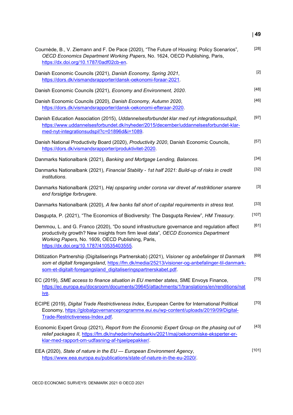| Cournède, B., V. Ziemann and F. De Pace (2020), "The Future of Housing: Policy Scenarios",<br>OECD Economics Department Working Papers, No. 1624, OECD Publishing, Paris,<br>https://dx.doi.org/10.1787/0adf02cb-en.                                                              | $[28]$  |
|-----------------------------------------------------------------------------------------------------------------------------------------------------------------------------------------------------------------------------------------------------------------------------------|---------|
| Danish Economic Councils (2021), Danish Economy, Spring 2021,<br>https://dors.dk/vismandsrapporter/dansk-oekonomi-foraar-2021.                                                                                                                                                    | $[2]$   |
| Danish Economic Councils (2021), Economy and Environment, 2020.                                                                                                                                                                                                                   | $[48]$  |
| Danish Economic Councils (2020), Danish Economy, Autumn 2020,<br>https://dors.dk/vismandsrapporter/dansk-oekonomi-efteraar-2020.                                                                                                                                                  | $[46]$  |
| Danish Education Association (2015), Uddannelsesforbundet klar med nyt integrationsudspil,<br>https://www.uddannelsesforbundet.dk/nyheder/2015/december/uddannelsesforbundet-klar-<br>med-nyt-integrationsudspil?c=01896d&i=1089.                                                 | $[97]$  |
| Danish National Productivity Board (2020), Productivity 2020, Danish Economic Councils,<br>https://dors.dk/vismandsrapporter/produktivitet-2020.                                                                                                                                  | $[57]$  |
| Danmarks Nationalbank (2021), Banking and Mortgage Lending, Balances.                                                                                                                                                                                                             | $[34]$  |
| Danmarks Nationalbank (2021), Financial Stablity - 1st half 2021: Build-up of risks in credit<br>institutions.                                                                                                                                                                    | $[32]$  |
| Danmarks Nationalbank (2021), Høj opsparing under corona var drevet af restriktioner snarere<br>end forsigtige forbrugere.                                                                                                                                                        | $[3]$   |
| Danmarks Nationalbank (2020), A few banks fall short of capital requirements in stress test.                                                                                                                                                                                      | $[33]$  |
| Dasgupta, P. (2021), "The Economics of Biodiversity: The Dasgupta Review", HM Treasury.                                                                                                                                                                                           | $[107]$ |
| Demmou, L. and G. Franco (2020), "Do sound infrastructure governance and regulation affect<br>productivity growth? New insights from firm level data", OECD Economics Department<br>Working Papers, No. 1609, OECD Publishing, Paris,<br>https://dx.doi.org/10.1787/410535403555. | [61]    |
| Dititization Partnership (Digitaliserings Partnerskab) (2021), Visioner og anbefalinger til Danmark<br>som et digitalt foregangsland, https://fm.dk/media/25213/visioner-og-anbefalinger-til-danmark-<br>som-et-digitalt-foregangsland digitaliseringspartnerskabet.pdf.          | [69]    |
| EC (2019), SME access to finance situation in EU member states, SME Envoys Finance,<br>https://ec.europa.eu/docsroom/documents/39645/attachments/1/translations/en/renditions/nat<br><u>ive</u>                                                                                   | $[75]$  |
| ECIPE (2019), Digital Trade Restrictiveness Index, European Centre for International Political<br>Economy, https://globalgovernanceprogramme.eui.eu/wp-content/uploads/2019/09/Digital-<br>Trade-Restrictiveness-Index.pdf.                                                       | $[70]$  |
| Economic Expert Group (2021), Report from the Economic Expert Group on the phasing out of<br>relief packages II, https://fm.dk/nyheder/nyhedsarkiv/2021/maj/oekonomiske-eksperter-er-<br>klar-med-rapport-om-udfasning-af-hjaelpepakker/.                                         | $[43]$  |
| EEA (2020), State of nature in the EU - European Environment Agency,<br>https://www.eea.europa.eu/publications/state-of-nature-in-the-eu-2020/.                                                                                                                                   | [101]   |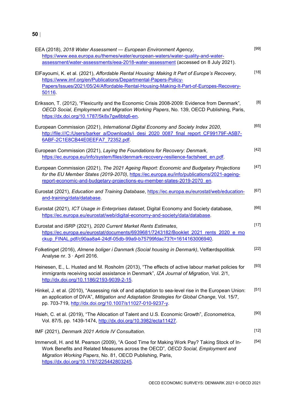| EEA (2018), 2018 Water Assessment - European Environment Agency,<br>https://www.eea.europa.eu/themes/water/european-waters/water-quality-and-water-<br>assessment/water-assessments/eea-2018-water-assessment (accessed on 8 July 2021).                                                | $[99]$ |
|-----------------------------------------------------------------------------------------------------------------------------------------------------------------------------------------------------------------------------------------------------------------------------------------|--------|
| ElFayoumi, K. et al. (2021), Affordable Rental Housing: Making It Part of Europe's Recovery,<br>https://www.imf.org/en/Publications/Departmental-Papers-Policy-<br>Papers/Issues/2021/05/24/Affordable-Rental-Housing-Making-It-Part-of-Europes-Recovery-<br>50116.                     | $[18]$ |
| Eriksson, T. (2012), "Flexicurity and the Economic Crisis 2008-2009: Evidence from Denmark",<br>OECD Social, Employment and Migration Working Papers, No. 139, OECD Publishing, Paris,<br>https://dx.doi.org/10.1787/5k8x7gw8btq6-en.                                                   | [8]    |
| European Commission (2021), International Digital Economy and Society Index 2020,<br>http://file:///C:/Users/barker_a/Downloads/i_desi_2020_0087_final_report_CF99179F-A5B7-<br>6ABF-2C1E8CB44E0EEFA7 72352.pdf                                                                         | [65]   |
| European Commission (2021), Laying the Foundations for Recovery: Denmark,<br>https://ec.europa.eu/info/system/files/denmark-recovery-resilience-factsheet_en.pdf.                                                                                                                       | $[42]$ |
| European Commission (2021), The 2021 Ageing Report: Economic and Budgetary Projections<br>for the EU Member States (2019-2070), https://ec.europa.eu/info/publications/2021-ageing-<br>report-economic-and-budgetary-projections-eu-member-states-2019-2070 en.                         | $[47]$ |
| Eurostat (2021), Education and Training Database, https://ec.europa.eu/eurostat/web/education-<br>and-training/data/database.                                                                                                                                                           | [67]   |
| Eurostat (2021), ICT Usage in Enterprises dataset, Digital Economy and Society database,<br>https://ec.europa.eu/eurostat/web/digital-economy-and-society/data/database.                                                                                                                | [66]   |
| Eurostat and iSRP (2021), 2020 Current Market Rents Estimates,<br>https://ec.europa.eu/eurostat/documents/6939681/7243182/Booklet 2021 rents 2020 e mo<br>ckup FINAL.pdf/c90aa8a4-24df-05db-99a9-b75799fdac73?t=1614163006940.                                                          | $[17]$ |
| Folketinget (2016), Almene boliger i Danmark (Social housing in Denmark), Velfærdspolitisk<br>Analyse nr. 3 · April 2016.                                                                                                                                                               | $[22]$ |
| Heinesen, E., L. Husted and M. Rosholm (2013), "The effects of active labour market policies for<br>immigrants receiving social assistance in Denmark", IZA Journal of Migration, Vol. 2/1,<br>http://dx.doi.org/10.1186/2193-9039-2-15.                                                | $[93]$ |
| Hinkel, J. et al. (2010), "Assessing risk of and adaptation to sea-level rise in the European Union:<br>an application of DIVA", Mitigation and Adaptation Strategies for Global Change, Vol. 15/7,<br>pp. 703-719, http://dx.doi.org/10.1007/s11027-010-9237-y.                        | $[51]$ |
| Hsieh, C. et al. (2019), "The Allocation of Talent and U.S. Economic Growth", Econometrica,<br>Vol. 87/5, pp. 1439-1474, http://dx.doi.org/10.3982/ecta11427.                                                                                                                           | [90]   |
| IMF (2021), Denmark 2021 Article IV Consultation.                                                                                                                                                                                                                                       | [12]   |
| Immervoll, H. and M. Pearson (2009), "A Good Time for Making Work Pay? Taking Stock of In-<br>Work Benefits and Related Measures across the OECD", OECD Social, Employment and<br>Migration Working Papers, No. 81, OECD Publishing, Paris,<br>https://dx.doi.org/10.1787/225442803245. | $[54]$ |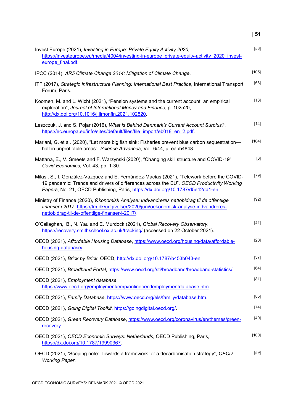| ×<br>۰.<br>.,<br>۰. |
|---------------------|
|---------------------|

| Invest Europe (2021), Investing in Europe: Private Equity Activity 2020,<br>https://investeurope.eu/media/4004/investing-in-europe_private-equity-activity_2020_invest-<br>europe final.pdf.                                                                               | $[56]$  |
|----------------------------------------------------------------------------------------------------------------------------------------------------------------------------------------------------------------------------------------------------------------------------|---------|
| IPCC (2014), AR5 Climate Change 2014: Mitigation of Climate Change.                                                                                                                                                                                                        | [105]   |
| ITF (2017), Strategic Infrastructure Planning: International Best Practice, International Transport<br>Forum, Paris.                                                                                                                                                       | $[63]$  |
| Koomen, M. and L. Wicht (2021), "Pension systems and the current account: an empirical<br>exploration", Journal of International Money and Finance, p. 102520,<br>http://dx.doi.org/10.1016/j.jimonfin.2021.102520.                                                        | $[13]$  |
| Leszczuk, J. and S. Pojar (2016), What is Behind Denmark's Current Account Surplus?,<br>https://ec.europa.eu/info/sites/default/files/file import/eb018 en 2.pdf.                                                                                                          | $[14]$  |
| Mariani, G. et al. (2020), "Let more big fish sink: Fisheries prevent blue carbon sequestration—<br>half in unprofitable areas", Science Advances, Vol. 6/44, p. eabb4848.                                                                                                 | [104]   |
| Mattana, E., V. Smeets and F. Warzynski (2020), "Changing skill structure and COVID-19",<br>Covid Economics, Vol. 43, pp. 1-30.                                                                                                                                            | [6]     |
| Milasi, S., I. González-Vázquez and E. Fernández-Macías (2021), "Telework before the COVID-<br>19 pandemic: Trends and drivers of differences across the EU", OECD Productivity Working<br>Papers, No. 21, OECD Publishing, Paris, https://dx.doi.org/10.1787/d5e42dd1-en. | $[79]$  |
| Ministry of Finance (2020), Økonomisk Analyse: Indvandreres nettobidrag til de offentlige<br>finanser i 2017, https://fm.dk/udgivelser/2020/juni/oekonomisk-analyse-indvandreres-<br>nettobidrag-til-de-offentlige-finanser-i-2017/                                        | $[92]$  |
| O'Callaghan,, B., N. Yau and E. Murdock (2021), Global Recovery Observatory,<br>https://recovery.smithschool.ox.ac.uk/tracking/ (accessed on 22 October 2021).                                                                                                             | $[41]$  |
| OECD (2021), Affordable Housing Database, https://www.oecd.org/housing/data/affordable-<br>housing-database/.                                                                                                                                                              | $[20]$  |
| OECD (2021), Brick by Brick, OECD, http://dx.doi.org/10.1787/b453b043-en.                                                                                                                                                                                                  | $[37]$  |
| OECD (2021), Broadband Portal, https://www.oecd.org/sti/broadband/broadband-statistics/.                                                                                                                                                                                   | $[64]$  |
| OECD (2021), Employment database,<br>https://www.oecd.org/employment/emp/onlineoecdemploymentdatabase.htm.                                                                                                                                                                 | [81]    |
| OECD (2021), Family Database, https://www.oecd.org/els/family/database.htm.                                                                                                                                                                                                | [85]    |
| OECD (2021), Going Digital Toolkit, https://goingdigital.oecd.org/.                                                                                                                                                                                                        | $[74]$  |
| OECD (2021), Green Recovery Database, https://www.oecd.org/coronavirus/en/themes/green-<br>recovery.                                                                                                                                                                       | $[40]$  |
| OECD (2021), OECD Economic Surveys: Netherlands, OECD Publishing, Paris,<br>https://dx.doi.org/10.1787/19990367.                                                                                                                                                           | $[100]$ |
| OECD (2021), "Scoping note: Towards a framework for a decarbonisation strategy", OECD<br><b>Working Paper.</b>                                                                                                                                                             | $[59]$  |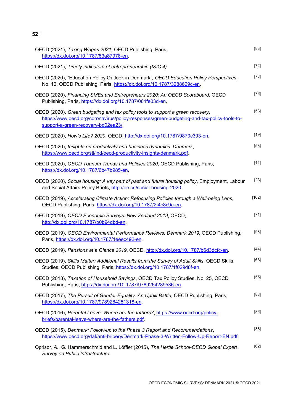| OECD (2021), Taxing Wages 2021, OECD Publishing, Paris,<br>https://dx.doi.org/10.1787/83a87978-en.                                                                                                                  | $[83]$ |
|---------------------------------------------------------------------------------------------------------------------------------------------------------------------------------------------------------------------|--------|
| OECD (2021), Timely indicators of entrepreneurship (ISIC 4).                                                                                                                                                        | $[72]$ |
| OECD (2020), "Education Policy Outlook in Denmark", OECD Education Policy Perspectives,<br>No. 12, OECD Publishing, Paris, https://dx.doi.org/10.1787/3288629c-en.                                                  | $[78]$ |
| OECD (2020), Financing SMEs and Entrepreneurs 2020: An OECD Scoreboard, OECD<br>Publishing, Paris, https://dx.doi.org/10.1787/061fe03d-en.                                                                          | $[76]$ |
| OECD (2020), Green budgeting and tax policy tools to support a green recovery,<br>https://www.oecd.org/coronavirus/policy-responses/green-budgeting-and-tax-policy-tools-to-<br>support-a-green-recovery-bd02ea23/. | $[53]$ |
| OECD (2020), How's Life? 2020, OECD, http://dx.doi.org/10.1787/9870c393-en.                                                                                                                                         | $[19]$ |
| OECD (2020), Insights on productivity and business dynamics: Denmark,<br>https://www.oecd.org/sti/ind/oecd-productivity-insights-denmark.pdf.                                                                       | $[58]$ |
| OECD (2020), OECD Tourism Trends and Policies 2020, OECD Publishing, Paris,<br>https://dx.doi.org/10.1787/6b47b985-en.                                                                                              | $[11]$ |
| OECD (2020), Social housing: A key part of past and future housing policy, Employment, Labour<br>and Social Affairs Policy Briefs, http://oe.cd/social-housing-2020.                                                | $[23]$ |
| OECD (2019), Accelerating Climate Action: Refocusing Policies through a Well-being Lens,<br>OECD Publishing, Paris, https://dx.doi.org/10.1787/2f4c8c9a-en.                                                         | [102]  |
| OECD (2019), OECD Economic Surveys: New Zealand 2019, OECD,<br>http://dx.doi.org/10.1787/b0b94dbd-en.                                                                                                               | $[71]$ |
| OECD (2019), OECD Environmental Performance Reviews: Denmark 2019, OECD Publishing,<br>Paris, https://dx.doi.org/10.1787/1eeec492-en.                                                                               | $[98]$ |
| OECD (2019), Pensions at a Glance 2019, OECD, http://dx.doi.org/10.1787/b6d3dcfc-en.                                                                                                                                | [44]   |
| OECD (2019), Skills Matter: Additional Results from the Survey of Adult Skills, OECD Skills<br>Studies, OECD Publishing, Paris, https://dx.doi.org/10.1787/1f029d8f-en.                                             | $[68]$ |
| OECD (2018), Taxation of Household Savings, OECD Tax Policy Studies, No. 25, OECD<br>Publishing, Paris, https://dx.doi.org/10.1787/9789264289536-en.                                                                | $[55]$ |
| OECD (2017), The Pursuit of Gender Equality: An Uphill Battle, OECD Publishing, Paris,<br>https://dx.doi.org/10.1787/9789264281318-en.                                                                              | [88]   |
| OECD (2016), Parental Leave: Where are the fathers?, https://www.oecd.org/policy-<br>briefs/parental-leave-where-are-the-fathers.pdf.                                                                               | [86]   |
| OECD (2015), Denmark: Follow-up to the Phase 3 Report and Recommendations,<br>https://www.oecd.org/daf/anti-bribery/Denmark-Phase-3-Written-Follow-Up-Report-EN.pdf.                                                | $[38]$ |
| Oprisor, A., G. Hammerschmid and L. Löffler (2015), The Hertie School-OECD Global Expert<br>Survey on Public Infrastructure.                                                                                        | $[62]$ |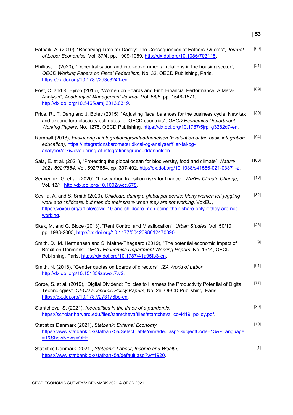| Patnaik, A. (2019), "Reserving Time for Daddy: The Consequences of Fathers' Quotas", Journal<br>of Labor Economics, Vol. 37/4, pp. 1009-1059, http://dx.doi.org/10.1086/703115.                                                                                                           | [60]   |
|-------------------------------------------------------------------------------------------------------------------------------------------------------------------------------------------------------------------------------------------------------------------------------------------|--------|
| Phillips, L. (2020), "Decentralisation and inter-governmental relations in the housing sector",<br>OECD Working Papers on Fiscal Federalism, No. 32, OECD Publishing, Paris,<br>https://dx.doi.org/10.1787/2d3c3241-en.                                                                   | $[21]$ |
| Post, C. and K. Byron (2015), "Women on Boards and Firm Financial Performance: A Meta-<br>Analysis", Academy of Management Journal, Vol. 58/5, pp. 1546-1571,<br>http://dx.doi.org/10.5465/amj.2013.0319.                                                                                 | [89]   |
| Price, R., T. Dang and J. Botev (2015), "Adjusting fiscal balances for the business cycle: New tax<br>and expenditure elasticity estimates for OECD countries", OECD Economics Department<br>Working Papers, No. 1275, OECD Publishing, https://dx.doi.org/10.1787/5jrp1g3282d7-en.       | $[39]$ |
| Rambøll (2018), Evaluering af integrationsgrunduddannelsen (Evaluation of the basic integration<br>education), https://integrationsbarometer.dk/tal-og-analyser/filer-tal-og-<br>analyser/arkiv/evaluering-af-integrationsgrunduddannelsen.                                               | $[94]$ |
| Sala, E. et al. (2021), "Protecting the global ocean for biodiversity, food and climate", Nature<br>2021 592:7854, Vol. 592/7854, pp. 397-402, http://dx.doi.org/10.1038/s41586-021-03371-z.                                                                                              | [103]  |
| Semieniuk, G. et al. (2020), "Low-carbon transition risks for finance", WIREs Climate Change,<br>Vol. 12/1, http://dx.doi.org/10.1002/wcc.678.                                                                                                                                            | $[16]$ |
| Sevilla, A. and S. Smith (2020), Childcare during a global pandemic: Many women left juggling<br>work and childcare, but men do their share when they are not working, VoxEU,<br>https://voxeu.org/article/covid-19-and-childcare-men-doing-their-share-only-if-they-are-not-<br>working. | [82]   |
| Skak, M. and G. Bloze (2013), "Rent Control and Misallocation", Urban Studies, Vol. 50/10,<br>pp. 1988-2005, http://dx.doi.org/10.1177/0042098012470390.                                                                                                                                  | $[26]$ |
| Smith, D., M. Hermansen and S. Malthe-Thagaard (2019), "The potential economic impact of<br>Brexit on Denmark", OECD Economics Department Working Papers, No. 1544, OECD<br>Publishing, Paris, https://dx.doi.org/10.1787/41a95fb3-en.                                                    | $[9]$  |
| Smith, N. (2018), "Gender quotas on boards of directors", IZA World of Labor,<br>http://dx.doi.org/10.15185/izawol.7.v2.                                                                                                                                                                  | $[91]$ |
| Sorbe, S. et al. (2019), "Digital Dividend: Policies to Harness the Productivity Potential of Digital<br>Technologies", OECD Economic Policy Papers, No. 26, OECD Publishing, Paris,<br>https://dx.doi.org/10.1787/273176bc-en.                                                           | $[77]$ |
| Stantcheva, S. (2021), Inequalities in the times of a pandemic,<br>https://scholar.harvard.edu/files/stantcheva/files/stantcheva covid19 policy.pdf.                                                                                                                                      | [80]   |
| Statistics Denmark (2021), Statbank: External Economy,<br>https://www.statbank.dk/statbank5a/SelectTable/omrade0.asp?SubjectCode=13&PLanguage<br>=1&ShowNews=OFF                                                                                                                          | $[10]$ |
| Statistics Denmark (2021), Statbank: Labour, Income and Wealth,<br>https://www.statbank.dk/statbank5a/default.asp?w=1920.                                                                                                                                                                 | $[1]$  |